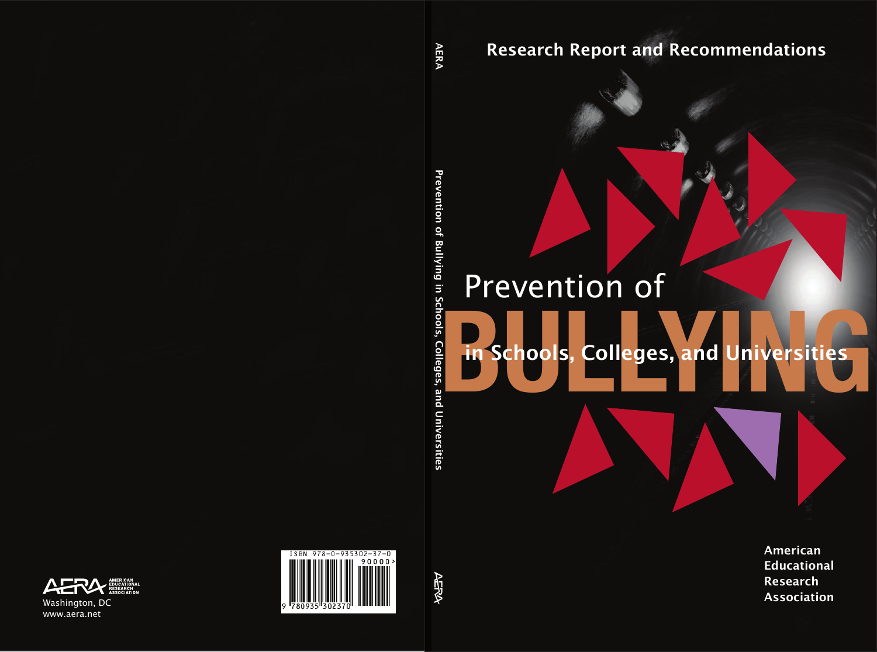# Research Report and Recommendations

# Prevention of

# **Bully Schools, Colleges, and Universities** in Schools, Colleges, and Universities

American Educational Research Association Washington, DC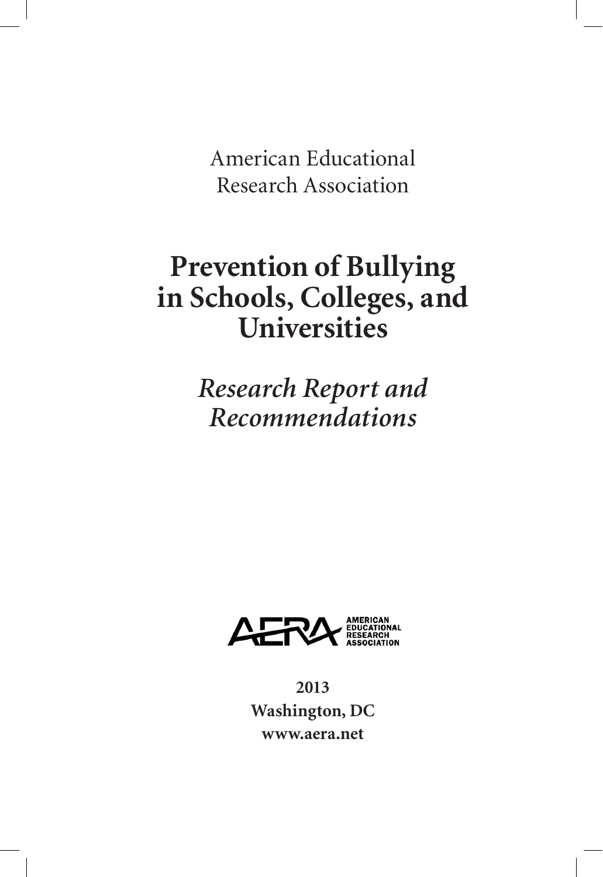American Educational Research Association

# **Prevention of Bullying in Schools, Colleges, and Universities**

*Research Report and Recommendations*



**2013 Washington, DC www.aera.net**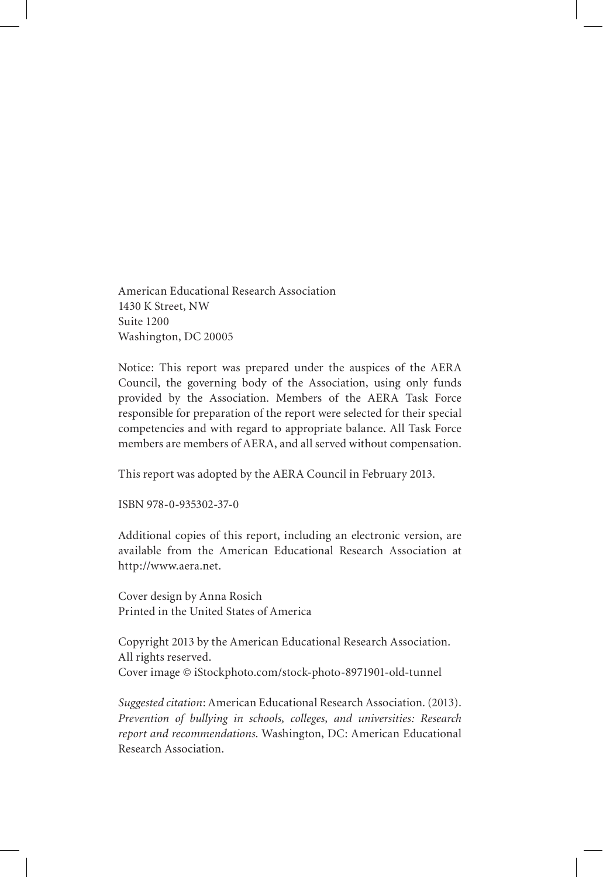American Educational Research Association 1430 K Street, NW Suite 1200 Washington, DC 20005

Notice: This report was prepared under the auspices of the AERA Council, the governing body of the Association, using only funds provided by the Association. Members of the AERA Task Force responsible for preparation of the report were selected for their special competencies and with regard to appropriate balance. All Task Force members are members of AERA, and all served without compensation.

This report was adopted by the AERA Council in February 2013.

ISBN 978-0-935302-37-0

Additional copies of this report, including an electronic version, are available from the American Educational Research Association at http://www.aera.net.

Cover design by Anna Rosich Printed in the United States of America

Copyright 2013 by the American Educational Research Association. All rights reserved. Cover image © iStockphoto.com/stock-photo-8971901-old-tunnel

*Suggested citation*: American Educational Research Association. (2013). *Prevention of bullying in schools, colleges, and universities: Research report and recommendations*. Washington, DC: American Educational Research Association.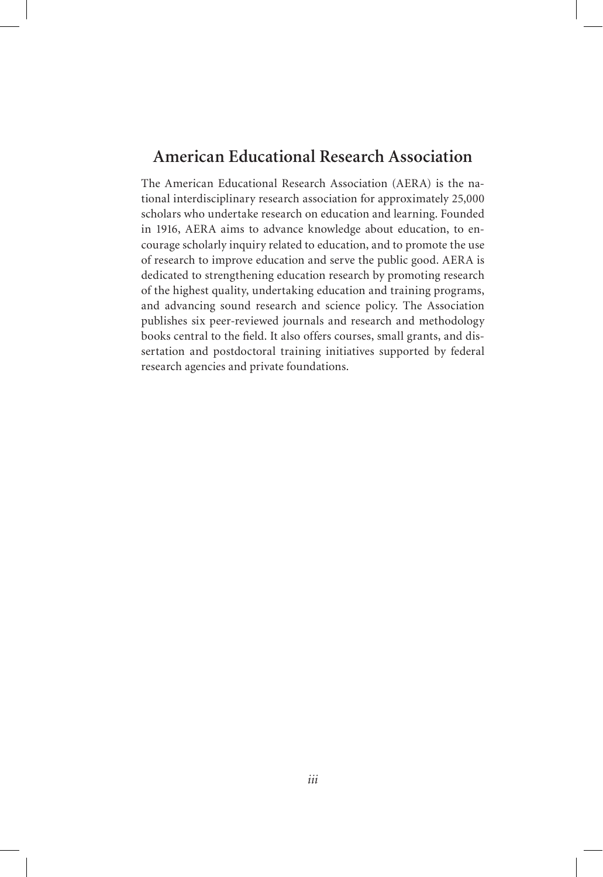#### **American Educational Research Association**

The American Educational Research Association (AERA) is the national interdisciplinary research association for approximately 25,000 scholars who undertake research on education and learning. Founded in 1916, AERA aims to advance knowledge about education, to encourage scholarly inquiry related to education, and to promote the use of research to improve education and serve the public good. AERA is dedicated to strengthening education research by promoting research of the highest quality, undertaking education and training programs, and advancing sound research and science policy. The Association publishes six peer-reviewed journals and research and methodology books central to the field. It also offers courses, small grants, and dissertation and postdoctoral training initiatives supported by federal research agencies and private foundations.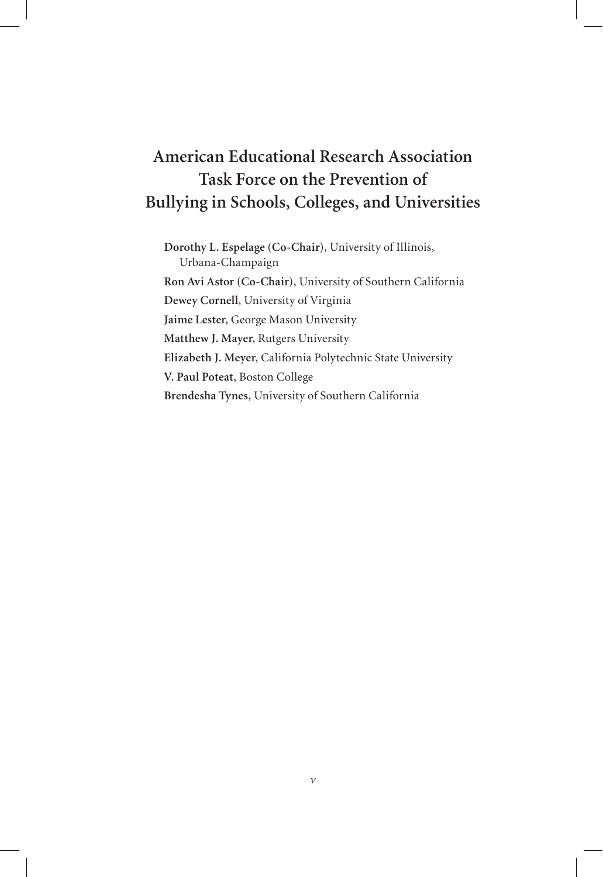### **American Educational Research Association Task Force on the Prevention of Bullying in Schools, Colleges, and Universities**

**Dorothy L. Espelage (Co-Chair)**, University of Illinois, Urbana-Champaign **Ron Avi Astor (Co-Chair)**, University of Southern California **Dewey Cornell**, University of Virginia **Jaime Lester**, George Mason University **Matthew J. Mayer**, Rutgers University **Elizabeth J. Meyer**, California Polytechnic State University **V. Paul Poteat**, Boston College **Brendesha Tynes**, University of Southern California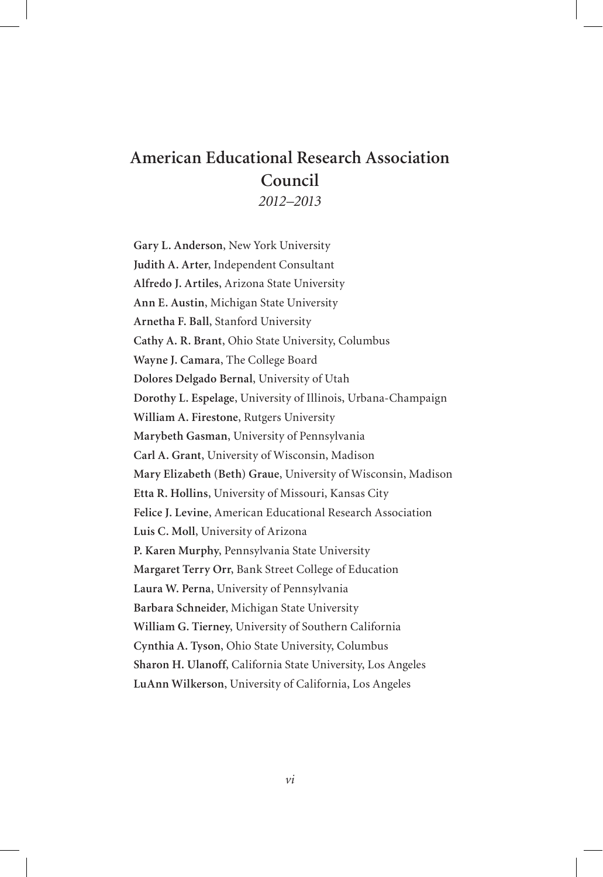#### **American Educational Research Association Council** *2012–2013*

**Gary L. Anderson**, New York University **Judith A. Arter**, Independent Consultant **Alfredo J. Artiles**, Arizona State University **Ann E. Austin**, Michigan State University **Arnetha F. Ball**, Stanford University **Cathy A. R. Brant**, Ohio State University, Columbus **Wayne J. Camara**, The College Board **Dolores Delgado Bernal**, University of Utah **Dorothy L. Espelage**, University of Illinois, Urbana-Champaign **William A. Firestone**, Rutgers University **Marybeth Gasman**, University of Pennsylvania **Carl A. Grant**, University of Wisconsin, Madison **Mary Elizabeth (Beth) Graue**, University of Wisconsin, Madison **Etta R. Hollins**, University of Missouri, Kansas City **Felice J. Levine**, American Educational Research Association **Luis C. Moll**, University of Arizona **P. Karen Murphy**, Pennsylvania State University **Margaret Terry Orr**, Bank Street College of Education **Laura W. Perna**, University of Pennsylvania **Barbara Schneider**, Michigan State University **William G. Tierney**, University of Southern California **Cynthia A. Tyson**, Ohio State University, Columbus **Sharon H. Ulanoff**, California State University, Los Angeles **LuAnn Wilkerson**, University of California, Los Angeles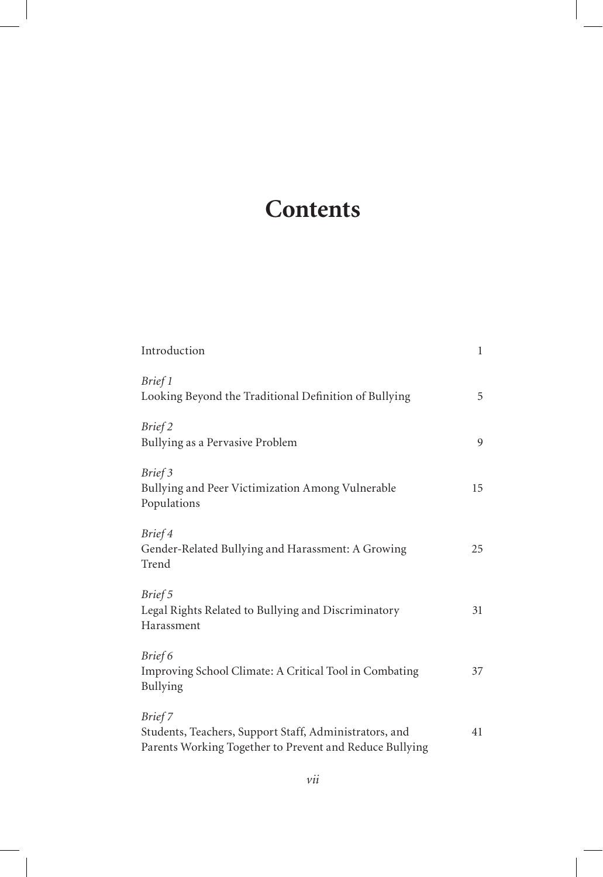# **Contents**

| Introduction                                                                                                                 | $\mathbf{1}$ |
|------------------------------------------------------------------------------------------------------------------------------|--------------|
| Brief 1<br>Looking Beyond the Traditional Definition of Bullying                                                             | 5            |
| Brief <sub>2</sub><br>Bullying as a Pervasive Problem                                                                        | 9            |
| Brief 3<br>Bullying and Peer Victimization Among Vulnerable<br>Populations                                                   | 15           |
| Brief 4<br>Gender-Related Bullying and Harassment: A Growing<br>Trend                                                        | 25           |
| Brief 5<br>Legal Rights Related to Bullying and Discriminatory<br>Harassment                                                 | 31           |
| Brief 6<br>Improving School Climate: A Critical Tool in Combating<br>Bullying                                                | 37           |
| Brief 7<br>Students, Teachers, Support Staff, Administrators, and<br>Parents Working Together to Prevent and Reduce Bullying | 41           |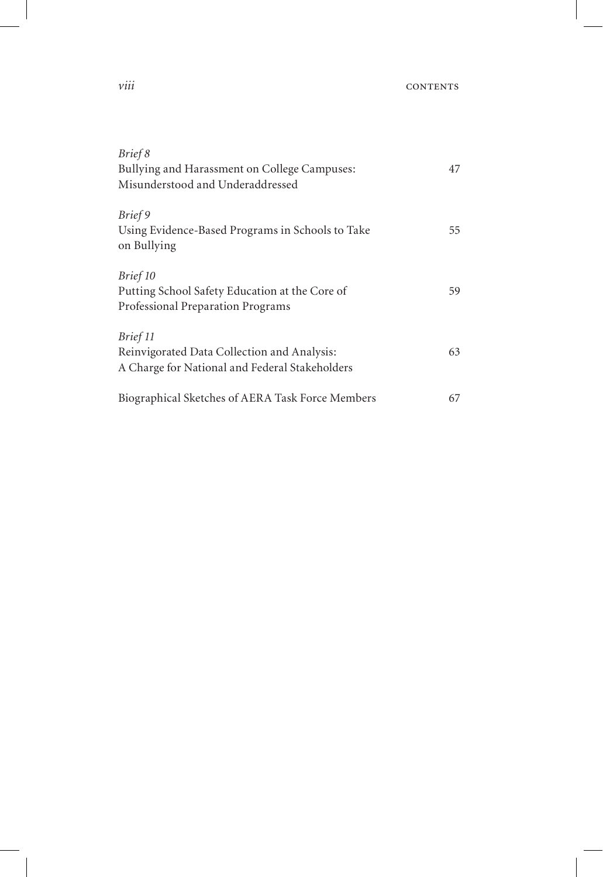| Brief 8                                                                          | 47 |
|----------------------------------------------------------------------------------|----|
| Bullying and Harassment on College Campuses:<br>Misunderstood and Underaddressed |    |
|                                                                                  |    |
| Brief 9                                                                          |    |
| Using Evidence-Based Programs in Schools to Take                                 | 55 |
| on Bullying                                                                      |    |
| Brief 10                                                                         |    |
| Putting School Safety Education at the Core of                                   | 59 |
| Professional Preparation Programs                                                |    |
| Brief 11                                                                         |    |
| Reinvigorated Data Collection and Analysis:                                      | 63 |
| A Charge for National and Federal Stakeholders                                   |    |
| Biographical Sketches of AERA Task Force Members                                 | 67 |

 $\overline{\phantom{a}}$ 

 $\overline{\phantom{a}}$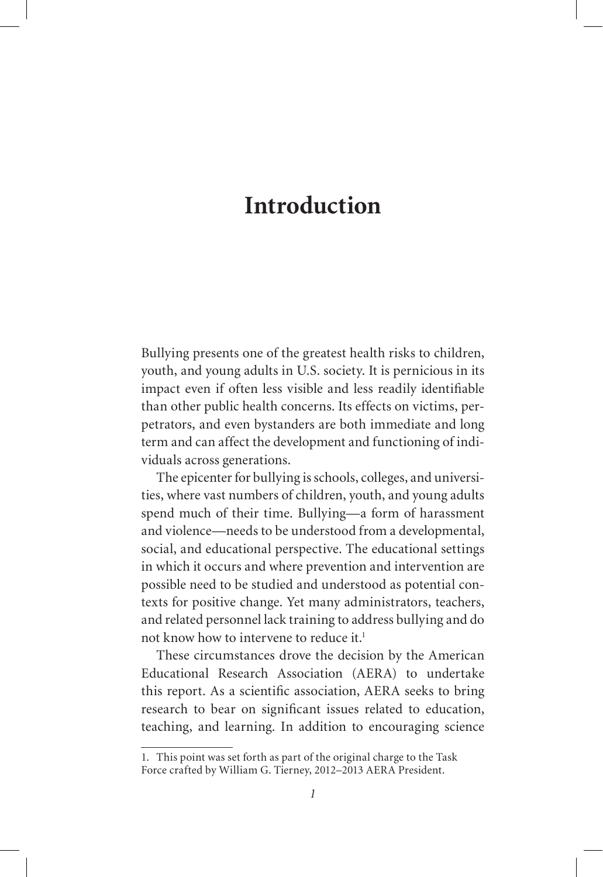## **Introduction**

Bullying presents one of the greatest health risks to children, youth, and young adults in U.S. society. It is pernicious in its impact even if often less visible and less readily identifiable than other public health concerns. Its effects on victims, perpetrators, and even bystanders are both immediate and long term and can affect the development and functioning of individuals across generations.

The epicenter for bullying is schools, colleges, and universities, where vast numbers of children, youth, and young adults spend much of their time. Bullying—a form of harassment and violence—needs to be understood from a developmental, social, and educational perspective. The educational settings in which it occurs and where prevention and intervention are possible need to be studied and understood as potential contexts for positive change. Yet many administrators, teachers, and related personnel lack training to address bullying and do not know how to intervene to reduce it.<sup>1</sup>

These circumstances drove the decision by the American Educational Research Association (AERA) to undertake this report. As a scientific association, AERA seeks to bring research to bear on significant issues related to education, teaching, and learning. In addition to encouraging science

<sup>1.</sup> This point was set forth as part of the original charge to the Task Force crafted by William G. Tierney, 2012–2013 AERA President.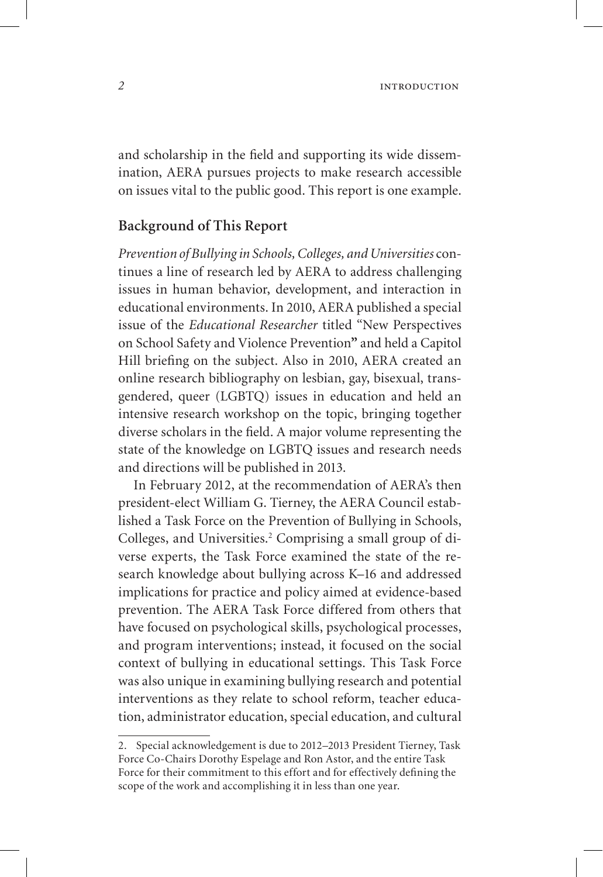and scholarship in the field and supporting its wide dissemination, AERA pursues projects to make research accessible on issues vital to the public good. This report is one example.

#### **Background of This Report**

*Prevention of Bullying in Schools, Colleges, and Universities* continues a line of research led by AERA to address challenging issues in human behavior, development, and interaction in educational environments. In 2010, AERA published a special issue of the *Educational Researcher* titled "New Perspectives on School Safety and Violence Prevention**"** and held a Capitol Hill briefing on the subject. Also in 2010, AERA created an online research bibliography on lesbian, gay, bisexual, transgendered, queer (LGBTQ) issues in education and held an intensive research workshop on the topic, bringing together diverse scholars in the field. A major volume representing the state of the knowledge on LGBTQ issues and research needs and directions will be published in 2013.

In February 2012, at the recommendation of AERA's then president-elect William G. Tierney, the AERA Council established a Task Force on the Prevention of Bullying in Schools, Colleges, and Universities.<sup>2</sup> Comprising a small group of diverse experts, the Task Force examined the state of the research knowledge about bullying across K–16 and addressed implications for practice and policy aimed at evidence-based prevention. The AERA Task Force differed from others that have focused on psychological skills, psychological processes, and program interventions; instead, it focused on the social context of bullying in educational settings. This Task Force was also unique in examining bullying research and potential interventions as they relate to school reform, teacher education, administrator education, special education, and cultural

<sup>2.</sup> Special acknowledgement is due to 2012–2013 President Tierney, Task Force Co-Chairs Dorothy Espelage and Ron Astor, and the entire Task Force for their commitment to this effort and for effectively defining the scope of the work and accomplishing it in less than one year.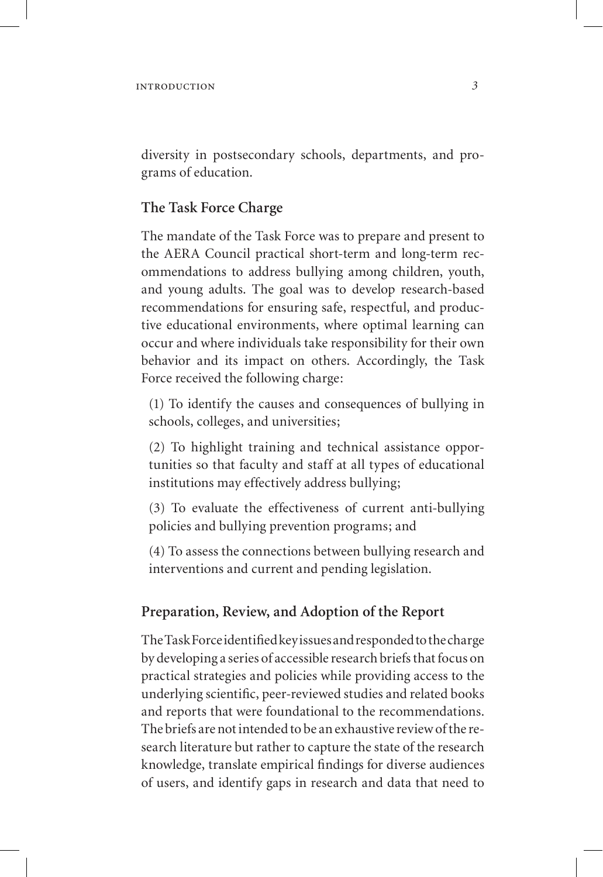diversity in postsecondary schools, departments, and programs of education.

#### **The Task Force Charge**

The mandate of the Task Force was to prepare and present to the AERA Council practical short-term and long-term recommendations to address bullying among children, youth, and young adults. The goal was to develop research-based recommendations for ensuring safe, respectful, and productive educational environments, where optimal learning can occur and where individuals take responsibility for their own behavior and its impact on others. Accordingly, the Task Force received the following charge:

(1) To identify the causes and consequences of bullying in schools, colleges, and universities;

(2) To highlight training and technical assistance opportunities so that faculty and staff at all types of educational institutions may effectively address bullying;

(3) To evaluate the effectiveness of current anti-bullying policies and bullying prevention programs; and

(4) To assess the connections between bullying research and interventions and current and pending legislation.

#### **Preparation, Review, and Adoption of the Report**

The Task Force identified key issues and responded to the charge by developing a series of accessible research briefs that focus on practical strategies and policies while providing access to the underlying scientific, peer-reviewed studies and related books and reports that were foundational to the recommendations. The briefs are not intended to be an exhaustive review of the research literature but rather to capture the state of the research knowledge, translate empirical findings for diverse audiences of users, and identify gaps in research and data that need to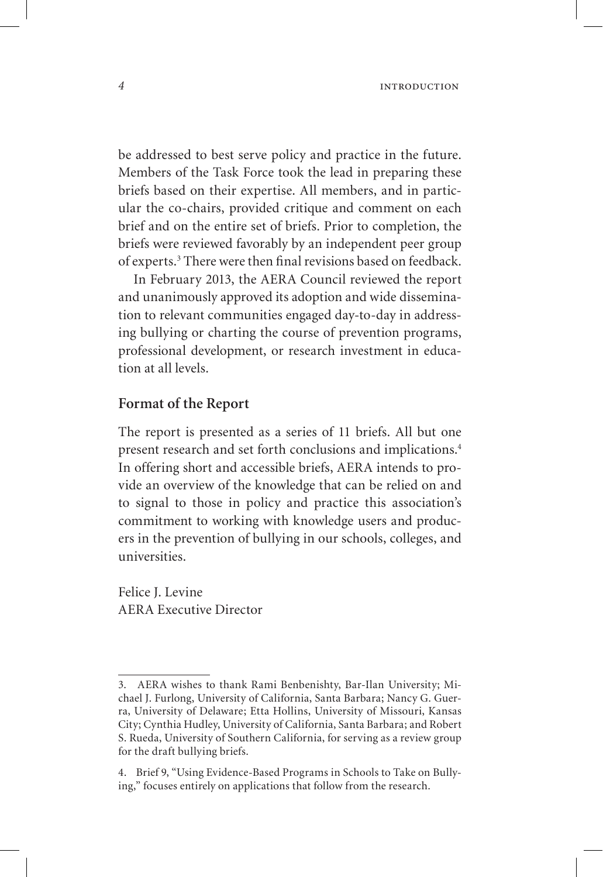#### *4* introduction

be addressed to best serve policy and practice in the future. Members of the Task Force took the lead in preparing these briefs based on their expertise. All members, and in particular the co-chairs, provided critique and comment on each brief and on the entire set of briefs. Prior to completion, the briefs were reviewed favorably by an independent peer group of experts.<sup>3</sup> There were then final revisions based on feedback.

In February 2013, the AERA Council reviewed the report and unanimously approved its adoption and wide dissemination to relevant communities engaged day-to-day in addressing bullying or charting the course of prevention programs, professional development, or research investment in education at all levels.

#### **Format of the Report**

The report is presented as a series of 11 briefs. All but one present research and set forth conclusions and implications.4 In offering short and accessible briefs, AERA intends to provide an overview of the knowledge that can be relied on and to signal to those in policy and practice this association's commitment to working with knowledge users and producers in the prevention of bullying in our schools, colleges, and universities.

Felice J. Levine AERA Executive Director

<sup>3.</sup> AERA wishes to thank Rami Benbenishty, Bar-Ilan University; Michael J. Furlong, University of California, Santa Barbara; Nancy G. Guerra, University of Delaware; Etta Hollins, University of Missouri, Kansas City; Cynthia Hudley, University of California, Santa Barbara; and Robert S. Rueda, University of Southern California, for serving as a review group for the draft bullying briefs.

<sup>4.</sup> Brief 9, "Using Evidence-Based Programs in Schools to Take on Bullying," focuses entirely on applications that follow from the research.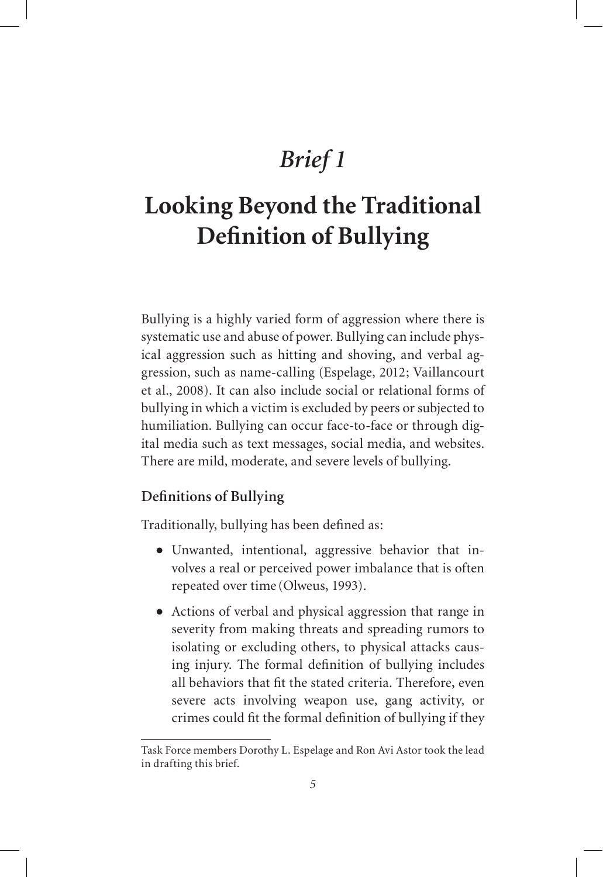# *Brief 1*

# **Looking Beyond the Traditional Definition of Bullying**

Bullying is a highly varied form of aggression where there is systematic use and abuse of power. Bullying can include physical aggression such as hitting and shoving, and verbal aggression, such as name-calling (Espelage, 2012; Vaillancourt et al., 2008). It can also include social or relational forms of bullying in which a victim is excluded by peers or subjected to humiliation. Bullying can occur face-to-face or through digital media such as text messages, social media, and websites. There are mild, moderate, and severe levels of bullying.

#### **Definitions of Bullying**

Traditionally, bullying has been defined as:

- Unwanted, intentional, aggressive behavior that involves a real or perceived power imbalance that is often repeated over time (Olweus, 1993).
- Actions of verbal and physical aggression that range in severity from making threats and spreading rumors to isolating or excluding others, to physical attacks causing injury. The formal definition of bullying includes all behaviors that fit the stated criteria. Therefore, even severe acts involving weapon use, gang activity, or crimes could fit the formal definition of bullying if they

Task Force members Dorothy L. Espelage and Ron Avi Astor took the lead in drafting this brief.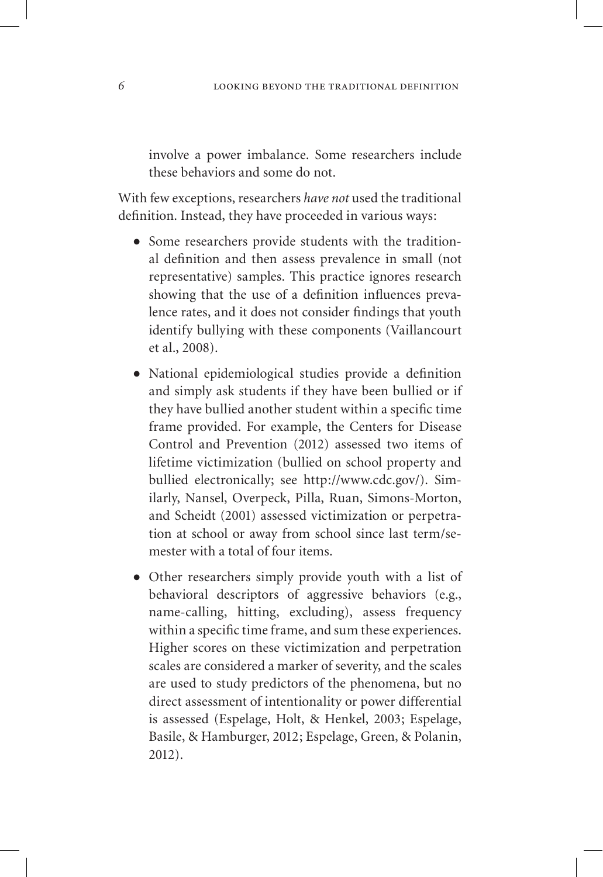involve a power imbalance. Some researchers include these behaviors and some do not.

With few exceptions, researchers *have not* used the traditional definition. Instead, they have proceeded in various ways:

- Some researchers provide students with the traditional definition and then assess prevalence in small (not representative) samples. This practice ignores research showing that the use of a definition influences prevalence rates, and it does not consider findings that youth identify bullying with these components (Vaillancourt et al., 2008).
- National epidemiological studies provide a definition and simply ask students if they have been bullied or if they have bullied another student within a specific time frame provided. For example, the Centers for Disease Control and Prevention (2012) assessed two items of lifetime victimization (bullied on school property and bullied electronically; see http://www.cdc.gov/). Similarly, Nansel, Overpeck, Pilla, Ruan, Simons-Morton, and Scheidt (2001) assessed victimization or perpetration at school or away from school since last term/semester with a total of four items.
- Other researchers simply provide youth with a list of behavioral descriptors of aggressive behaviors (e.g., name-calling, hitting, excluding), assess frequency within a specific time frame, and sum these experiences. Higher scores on these victimization and perpetration scales are considered a marker of severity, and the scales are used to study predictors of the phenomena, but no direct assessment of intentionality or power differential is assessed (Espelage, Holt, & Henkel, 2003; Espelage, Basile, & Hamburger, 2012; Espelage, Green, & Polanin, 2012).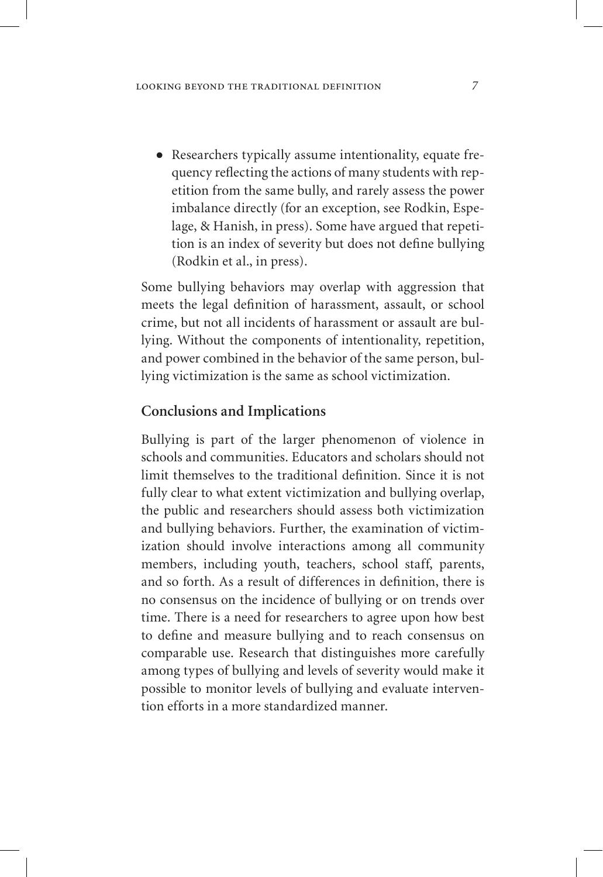• Researchers typically assume intentionality, equate frequency reflecting the actions of many students with repetition from the same bully, and rarely assess the power imbalance directly (for an exception, see Rodkin, Espelage, & Hanish, in press). Some have argued that repetition is an index of severity but does not define bullying (Rodkin et al., in press).

Some bullying behaviors may overlap with aggression that meets the legal definition of harassment, assault, or school crime, but not all incidents of harassment or assault are bullying. Without the components of intentionality, repetition, and power combined in the behavior of the same person, bullying victimization is the same as school victimization.

#### **Conclusions and Implications**

Bullying is part of the larger phenomenon of violence in schools and communities. Educators and scholars should not limit themselves to the traditional definition. Since it is not fully clear to what extent victimization and bullying overlap, the public and researchers should assess both victimization and bullying behaviors. Further, the examination of victimization should involve interactions among all community members, including youth, teachers, school staff, parents, and so forth. As a result of differences in definition, there is no consensus on the incidence of bullying or on trends over time. There is a need for researchers to agree upon how best to define and measure bullying and to reach consensus on comparable use. Research that distinguishes more carefully among types of bullying and levels of severity would make it possible to monitor levels of bullying and evaluate intervention efforts in a more standardized manner.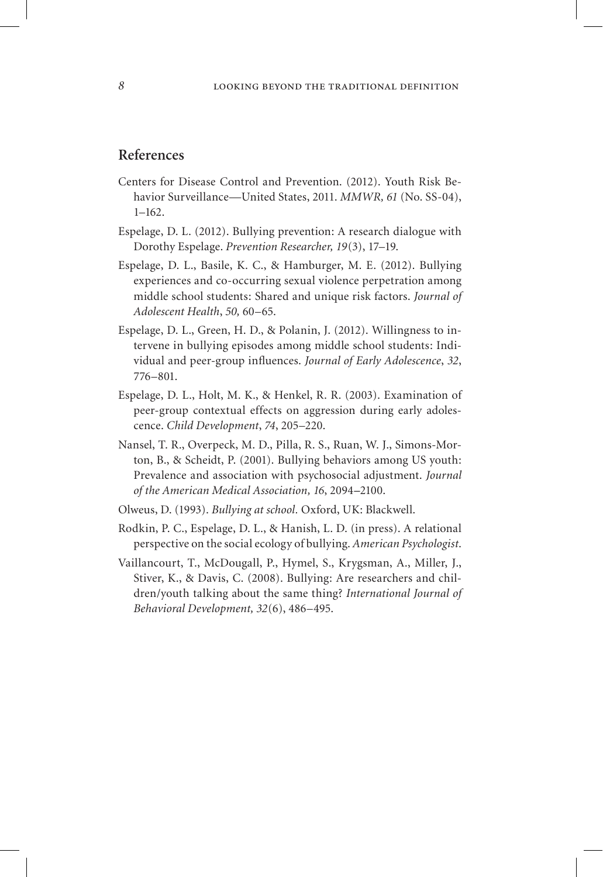#### **References**

- Centers for Disease Control and Prevention. (2012). Youth Risk Behavior Surveillance—United States, 2011. *MMWR, 61* (No. SS-04), 1–162.
- Espelage, D. L. (2012). Bullying prevention: A research dialogue with Dorothy Espelage. *Prevention Researcher, 19*(3), 17–19.
- Espelage, D. L., Basile, K. C., & Hamburger, M. E. (2012). Bullying experiences and co-occurring sexual violence perpetration among middle school students: Shared and unique risk factors. *Journal of Adolescent Health*, *50,* 60–65.
- Espelage, D. L., Green, H. D., & Polanin, J. (2012). Willingness to intervene in bullying episodes among middle school students: Individual and peer-group influences. *Journal of Early Adolescence*, *32*, 776–801.
- Espelage, D. L., Holt, M. K., & Henkel, R. R. (2003). Examination of peer-group contextual effects on aggression during early adolescence. *Child Development*, *74*, 205–220.
- Nansel, T. R., Overpeck, M. D., Pilla, R. S., Ruan, W. J., Simons-Morton, B., & Scheidt, P. (2001). Bullying behaviors among US youth: Prevalence and association with psychosocial adjustment. *Journal of the American Medical Association, 16*, 2094**–**2100.
- Olweus, D. (1993). *Bullying at school.* Oxford, UK: Blackwell.
- Rodkin, P. C., Espelage, D. L., & Hanish, L. D. (in press). A relational perspective on the social ecology of bullying. *American Psychologist*.
- Vaillancourt, T., McDougall, P., Hymel, S., Krygsman, A., Miller, J., Stiver, K., & Davis, C. (2008). Bullying: Are researchers and children/youth talking about the same thing? *International Journal of Behavioral Development, 32*(6), 486–495.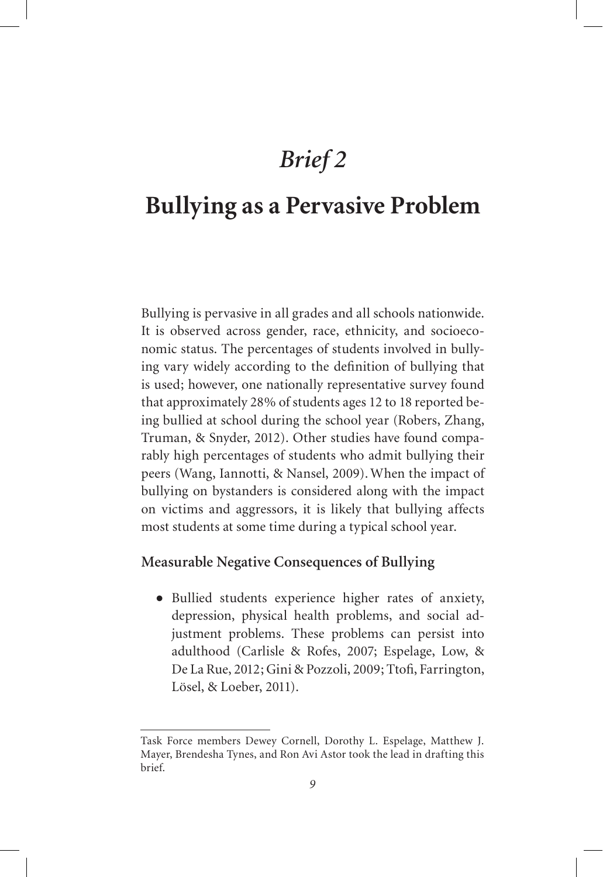# *Brief 2*

# **Bullying as a Pervasive Problem**

Bullying is pervasive in all grades and all schools nationwide. It is observed across gender, race, ethnicity, and socioeconomic status. The percentages of students involved in bullying vary widely according to the definition of bullying that is used; however, one nationally representative survey found that approximately 28% of students ages 12 to 18 reported being bullied at school during the school year (Robers, Zhang, Truman, & Snyder, 2012). Other studies have found comparably high percentages of students who admit bullying their peers (Wang, Iannotti, & Nansel, 2009).When the impact of bullying on bystanders is considered along with the impact on victims and aggressors, it is likely that bullying affects most students at some time during a typical school year.

#### **Measurable Negative Consequences of Bullying**

● Bullied students experience higher rates of anxiety, depression, physical health problems, and social adjustment problems. These problems can persist into adulthood (Carlisle & Rofes, 2007; Espelage, Low, & De La Rue, 2012; Gini & Pozzoli, 2009; Ttofi, Farrington, Lösel, & Loeber, 2011).

Task Force members Dewey Cornell, Dorothy L. Espelage, Matthew J. Mayer, Brendesha Tynes, and Ron Avi Astor took the lead in drafting this brief.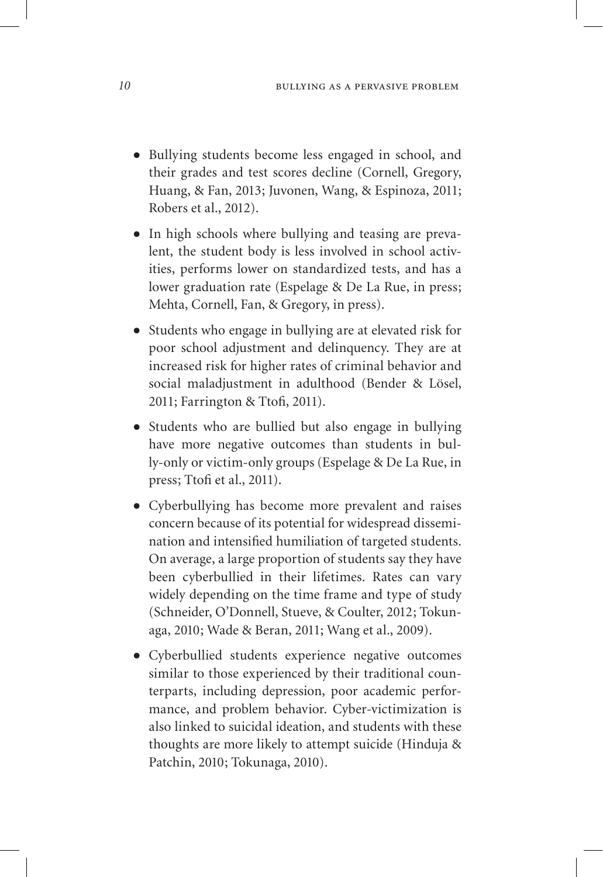- Bullying students become less engaged in school, and their grades and test scores decline (Cornell, Gregory, Huang, & Fan, 2013; Juvonen, Wang, & Espinoza, 2011; Robers et al., 2012).
- In high schools where bullying and teasing are prevalent, the student body is less involved in school activities, performs lower on standardized tests, and has a lower graduation rate (Espelage & De La Rue, in press; Mehta, Cornell, Fan, & Gregory, in press).
- Students who engage in bullying are at elevated risk for poor school adjustment and delinquency. They are at increased risk for higher rates of criminal behavior and social maladjustment in adulthood (Bender & Lösel, 2011; Farrington & Ttofi, 2011).
- Students who are bullied but also engage in bullying have more negative outcomes than students in bully-only or victim-only groups (Espelage & De La Rue, in press; Ttofi et al., 2011).
- Cyberbullying has become more prevalent and raises concern because of its potential for widespread dissemination and intensified humiliation of targeted students. On average, a large proportion of students say they have been cyberbullied in their lifetimes. Rates can vary widely depending on the time frame and type of study (Schneider, O'Donnell, Stueve, & Coulter, 2012; Tokunaga, 2010; Wade & Beran, 2011; Wang et al., 2009).
- Cyberbullied students experience negative outcomes similar to those experienced by their traditional counterparts, including depression, poor academic performance, and problem behavior. Cyber-victimization is also linked to suicidal ideation, and students with these thoughts are more likely to attempt suicide (Hinduja & Patchin, 2010; Tokunaga, 2010).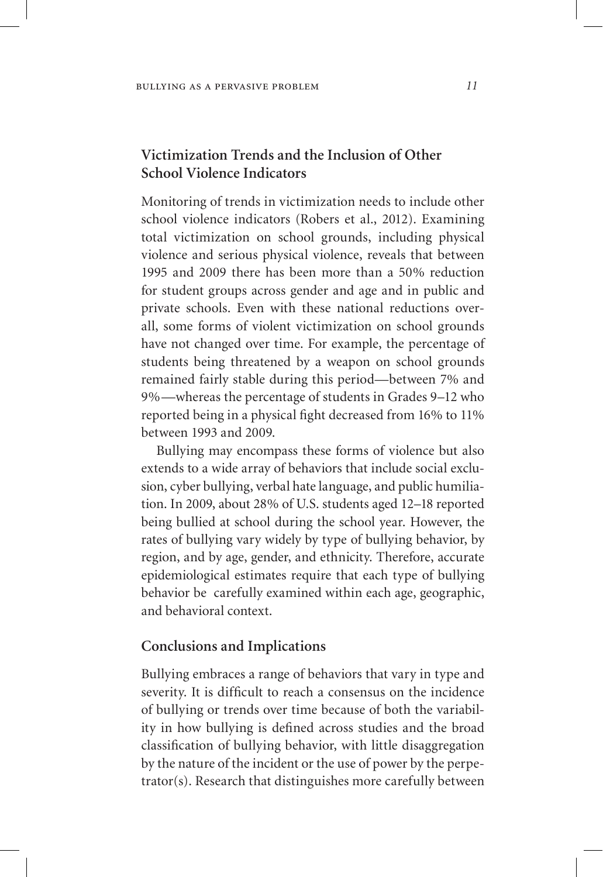#### **Victimization Trends and the Inclusion of Other School Violence Indicators**

Monitoring of trends in victimization needs to include other school violence indicators (Robers et al., 2012). Examining total victimization on school grounds, including physical violence and serious physical violence, reveals that between 1995 and 2009 there has been more than a 50% reduction for student groups across gender and age and in public and private schools. Even with these national reductions overall, some forms of violent victimization on school grounds have not changed over time. For example, the percentage of students being threatened by a weapon on school grounds remained fairly stable during this period—between 7% and 9%—whereas the percentage of students in Grades 9–12 who reported being in a physical fight decreased from 16% to 11% between 1993 and 2009.

Bullying may encompass these forms of violence but also extends to a wide array of behaviors that include social exclusion, cyber bullying, verbal hate language, and public humiliation. In 2009, about 28% of U.S. students aged 12–18 reported being bullied at school during the school year. However, the rates of bullying vary widely by type of bullying behavior, by region, and by age, gender, and ethnicity. Therefore, accurate epidemiological estimates require that each type of bullying behavior be carefully examined within each age, geographic, and behavioral context.

#### **Conclusions and Implications**

Bullying embraces a range of behaviors that vary in type and severity. It is difficult to reach a consensus on the incidence of bullying or trends over time because of both the variability in how bullying is defined across studies and the broad classification of bullying behavior, with little disaggregation by the nature of the incident or the use of power by the perpetrator(s). Research that distinguishes more carefully between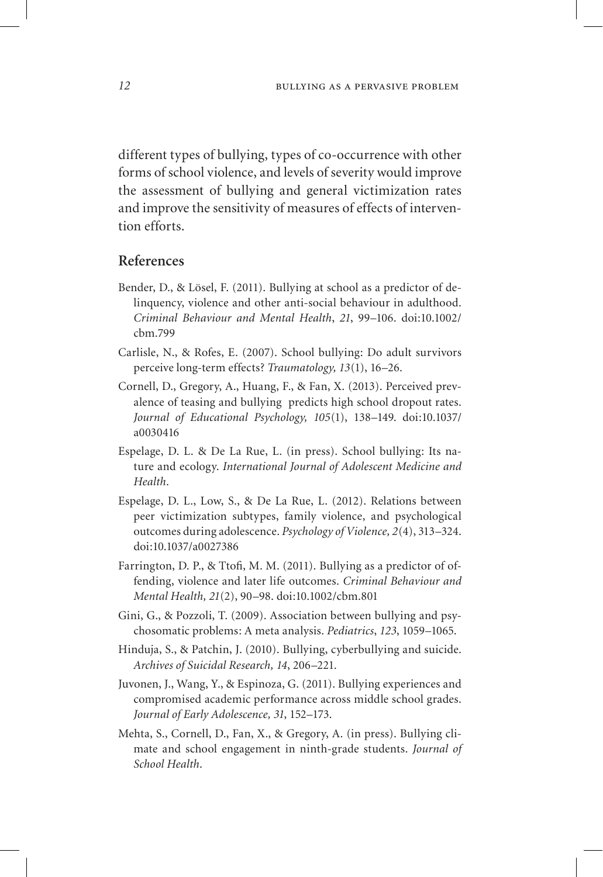different types of bullying, types of co-occurrence with other forms of school violence, and levels of severity would improve the assessment of bullying and general victimization rates and improve the sensitivity of measures of effects of intervention efforts.

#### **References**

- Bender, D., & Lösel, F. (2011). Bullying at school as a predictor of delinquency, violence and other anti-social behaviour in adulthood. *Criminal Behaviour and Mental Health*, *21*, 99–106. doi:10.1002/ cbm.799
- Carlisle, N., & Rofes, E. (2007). School bullying: Do adult survivors perceive long-term effects? *Traumatology, 13*(1), 16–26.
- Cornell, D., Gregory, A., Huang, F., & Fan, X. (2013). Perceived prevalence of teasing and bullying predicts high school dropout rates. *Journal of Educational Psychology, 105*(1), 138–149. doi:10.1037/ a0030416
- Espelage, D. L. & De La Rue, L. (in press). School bullying: Its nature and ecology. *International Journal of Adolescent Medicine and Health*.
- Espelage, D. L., Low, S., & De La Rue, L. (2012). Relations between peer victimization subtypes, family violence, and psychological outcomes during adolescence. *Psychology of Violence, 2*(4), 313–324. doi:10.1037/a0027386
- Farrington, D. P., & Ttofi, M. M. (2011). Bullying as a predictor of offending, violence and later life outcomes. *Criminal Behaviour and Mental Health, 21*(2), 90–98. doi:10.1002/cbm.801
- Gini, G., & Pozzoli, T. (2009). Association between bullying and psychosomatic problems: A meta analysis. *Pediatrics*, *123*, 1059–1065.
- Hinduja, S., & Patchin, J. (2010). Bullying, cyberbullying and suicide. *Archives of Suicidal Research, 14*, 206–221.
- Juvonen, J., Wang, Y., & Espinoza, G. (2011). Bullying experiences and compromised academic performance across middle school grades. *Journal of Early Adolescence, 31*, 152–173.
- Mehta, S., Cornell, D., Fan, X., & Gregory, A. (in press). Bullying climate and school engagement in ninth-grade students. *Journal of School Health*.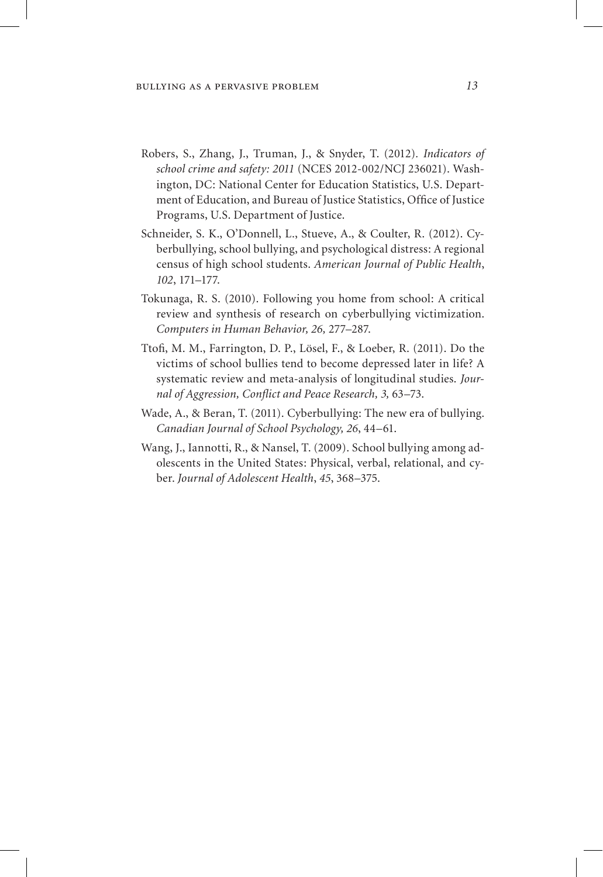- Robers, S., Zhang, J., Truman, J., & Snyder, T. (2012)*. Indicators of school crime and safety: 2011* (NCES 2012-002/NCJ 236021). Washington, DC: National Center for Education Statistics, U.S. Department of Education, and Bureau of Justice Statistics, Office of Justice Programs, U.S. Department of Justice.
- Schneider, S. K., O'Donnell, L., Stueve, A., & Coulter, R. (2012). Cyberbullying, school bullying, and psychological distress: A regional census of high school students. *American Journal of Public Health*, *102*, 171–177.
- Tokunaga, R. S. (2010). Following you home from school: A critical review and synthesis of research on cyberbullying victimization. *Computers in Human Behavior, 26,* 277–287.
- Ttofi, M. M., Farrington, D. P., Lösel, F., & Loeber, R. (2011). Do the victims of school bullies tend to become depressed later in life? A systematic review and meta-analysis of longitudinal studies. *Journal of Aggression, Conflict and Peace Research, 3,* 63–73.
- Wade, A., & Beran, T. (2011). Cyberbullying: The new era of bullying. *Canadian Journal of School Psychology, 26*, 44–61.
- Wang, J., Iannotti, R., & Nansel, T. (2009). School bullying among adolescents in the United States: Physical, verbal, relational, and cyber. *Journal of Adolescent Health*, *45*, 368–375.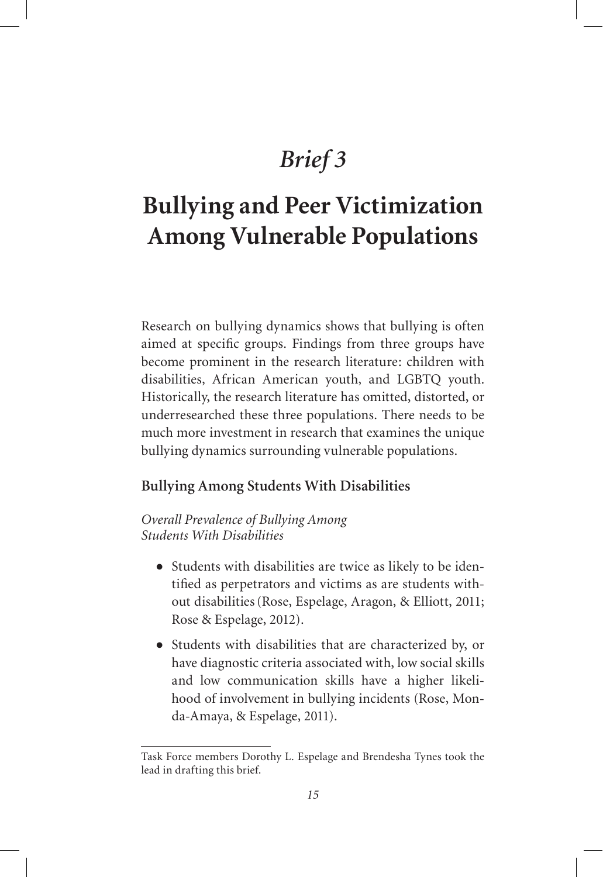# *Brief 3*

# **Bullying and Peer Victimization Among Vulnerable Populations**

Research on bullying dynamics shows that bullying is often aimed at specific groups. Findings from three groups have become prominent in the research literature: children with disabilities, African American youth, and LGBTQ youth. Historically, the research literature has omitted, distorted, or underresearched these three populations. There needs to be much more investment in research that examines the unique bullying dynamics surrounding vulnerable populations.

#### **Bullying Among Students With Disabilities**

*Overall Prevalence of Bullying Among Students With Disabilities*

- Students with disabilities are twice as likely to be identified as perpetrators and victims as are students without disabilities(Rose, Espelage, Aragon, & Elliott, 2011; Rose & Espelage, 2012).
- Students with disabilities that are characterized by, or have diagnostic criteria associated with, low social skills and low communication skills have a higher likelihood of involvement in bullying incidents (Rose, Monda-Amaya, & Espelage, 2011).

Task Force members Dorothy L. Espelage and Brendesha Tynes took the lead in drafting this brief.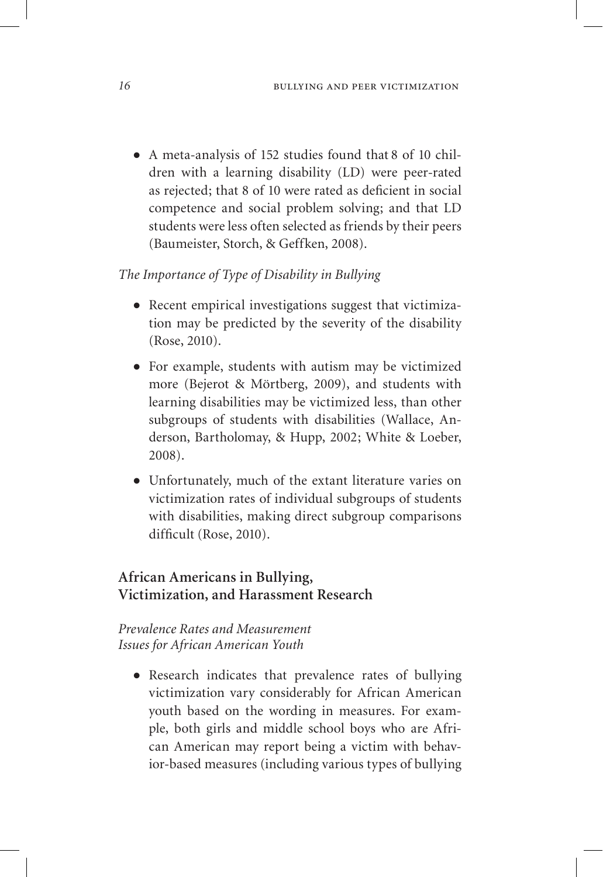● A meta-analysis of 152 studies found that 8 of 10 children with a learning disability (LD) were peer-rated as rejected; that 8 of 10 were rated as deficient in social competence and social problem solving; and that LD students were less often selected as friends by their peers (Baumeister, Storch, & Geffken, 2008).

#### *The Importance of Type of Disability in Bullying*

- Recent empirical investigations suggest that victimization may be predicted by the severity of the disability (Rose, 2010).
- For example, students with autism may be victimized more (Bejerot & Mörtberg, 2009), and students with learning disabilities may be victimized less, than other subgroups of students with disabilities (Wallace, Anderson, Bartholomay, & Hupp, 2002; White & Loeber, 2008).
- Unfortunately, much of the extant literature varies on victimization rates of individual subgroups of students with disabilities, making direct subgroup comparisons difficult (Rose, 2010).

#### **African Americans in Bullying, Victimization, and Harassment Research**

#### *Prevalence Rates and Measurement Issues for African American Youth*

• Research indicates that prevalence rates of bullying victimization vary considerably for African American youth based on the wording in measures. For example, both girls and middle school boys who are African American may report being a victim with behavior-based measures (including various types of bullying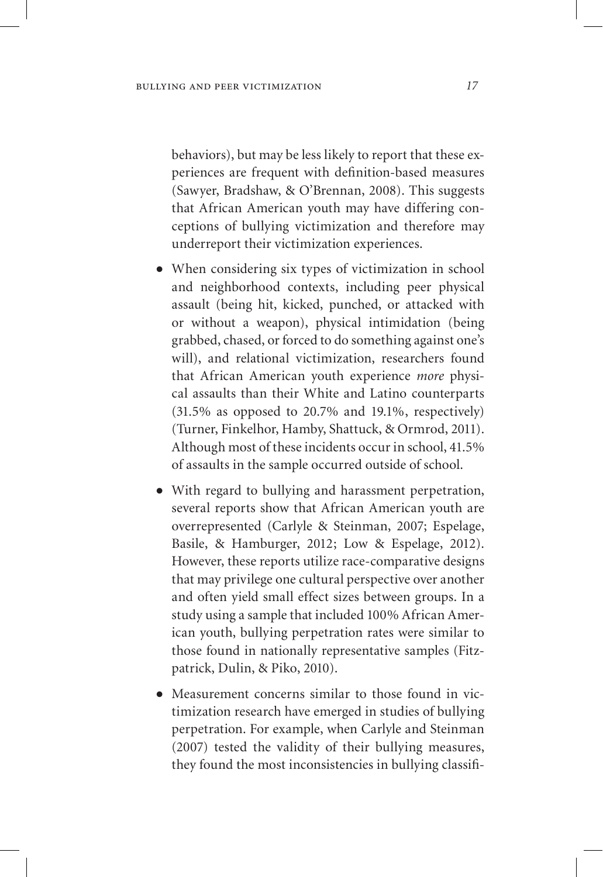behaviors), but may be less likely to report that these experiences are frequent with definition-based measures (Sawyer, Bradshaw, & O'Brennan, 2008). This suggests that African American youth may have differing conceptions of bullying victimization and therefore may underreport their victimization experiences.

- When considering six types of victimization in school and neighborhood contexts, including peer physical assault (being hit, kicked, punched, or attacked with or without a weapon), physical intimidation (being grabbed, chased, or forced to do something against one's will), and relational victimization, researchers found that African American youth experience *more* physical assaults than their White and Latino counterparts (31.5% as opposed to 20.7% and 19.1%, respectively) (Turner, Finkelhor, Hamby, Shattuck, & Ormrod, 2011). Although most of these incidents occur in school, 41.5% of assaults in the sample occurred outside of school.
- With regard to bullying and harassment perpetration, several reports show that African American youth are overrepresented (Carlyle & Steinman, 2007; Espelage, Basile, & Hamburger, 2012; Low & Espelage, 2012). However, these reports utilize race-comparative designs that may privilege one cultural perspective over another and often yield small effect sizes between groups. In a study using a sample that included 100% African American youth, bullying perpetration rates were similar to those found in nationally representative samples (Fitzpatrick, Dulin, & Piko, 2010).
- Measurement concerns similar to those found in victimization research have emerged in studies of bullying perpetration. For example, when Carlyle and Steinman (2007) tested the validity of their bullying measures, they found the most inconsistencies in bullying classifi-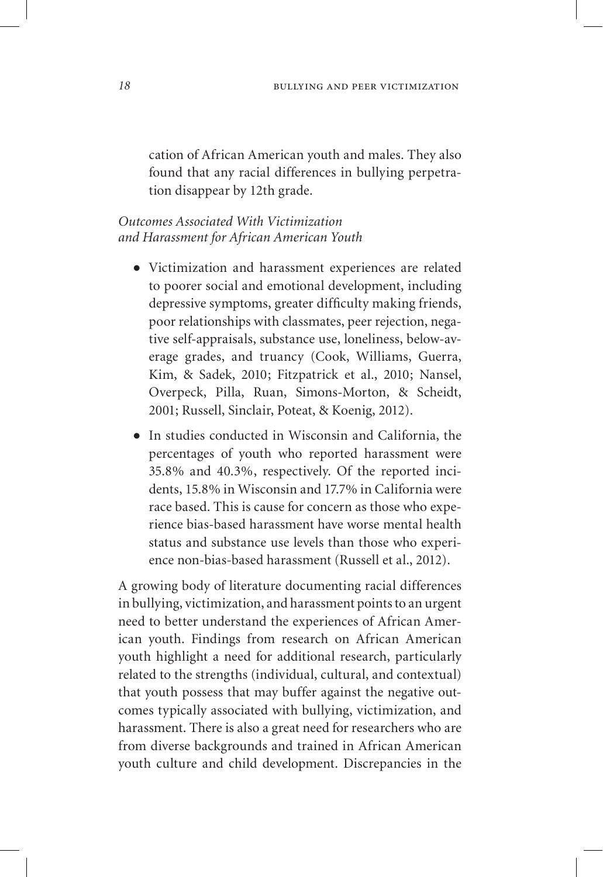cation of African American youth and males. They also found that any racial differences in bullying perpetration disappear by 12th grade.

#### *Outcomes Associated With Victimization and Harassment for African American Youth*

- Victimization and harassment experiences are related to poorer social and emotional development, including depressive symptoms, greater difficulty making friends, poor relationships with classmates, peer rejection, negative self-appraisals, substance use, loneliness, below-average grades, and truancy (Cook, Williams, Guerra, Kim, & Sadek, 2010; Fitzpatrick et al., 2010; Nansel, Overpeck, Pilla, Ruan, Simons-Morton, & Scheidt, 2001; Russell, Sinclair, Poteat, & Koenig, 2012).
- In studies conducted in Wisconsin and California, the percentages of youth who reported harassment were 35.8% and 40.3%, respectively. Of the reported incidents, 15.8% in Wisconsin and 17.7% in California were race based. This is cause for concern as those who experience bias-based harassment have worse mental health status and substance use levels than those who experience non-bias-based harassment (Russell et al., 2012).

A growing body of literature documenting racial differences in bullying, victimization, and harassment points to an urgent need to better understand the experiences of African American youth. Findings from research on African American youth highlight a need for additional research, particularly related to the strengths (individual, cultural, and contextual) that youth possess that may buffer against the negative outcomes typically associated with bullying, victimization, and harassment. There is also a great need for researchers who are from diverse backgrounds and trained in African American youth culture and child development. Discrepancies in the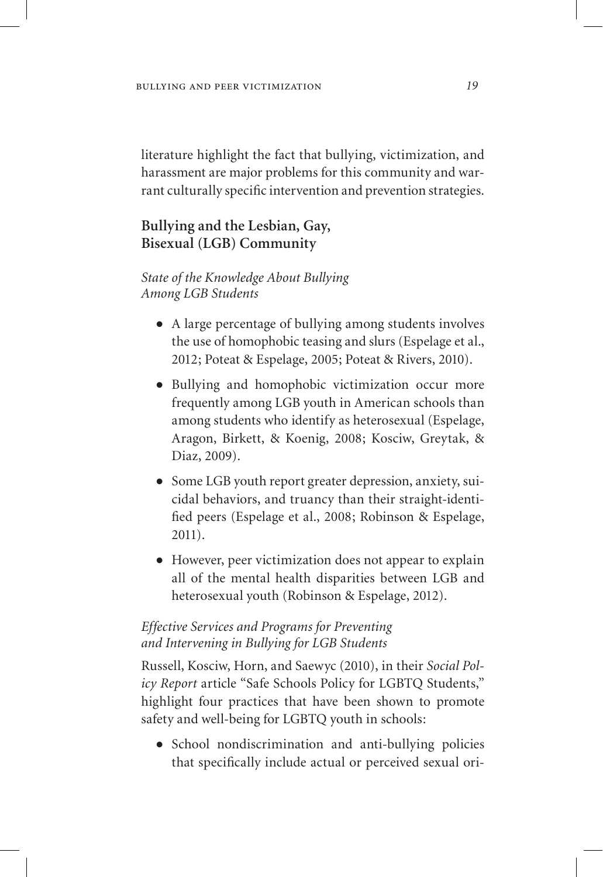literature highlight the fact that bullying, victimization, and harassment are major problems for this community and warrant culturally specific intervention and prevention strategies.

#### **Bullying and the Lesbian, Gay, Bisexual (LGB) Community**

#### *State of the Knowledge About Bullying Among LGB Students*

- A large percentage of bullying among students involves the use of homophobic teasing and slurs (Espelage et al., 2012; Poteat & Espelage, 2005; Poteat & Rivers, 2010).
- Bullying and homophobic victimization occur more frequently among LGB youth in American schools than among students who identify as heterosexual (Espelage, Aragon, Birkett, & Koenig, 2008; Kosciw, Greytak, & Diaz, 2009).
- Some LGB youth report greater depression, anxiety, suicidal behaviors, and truancy than their straight-identified peers (Espelage et al., 2008; Robinson & Espelage, 2011).
- However, peer victimization does not appear to explain all of the mental health disparities between LGB and heterosexual youth (Robinson & Espelage, 2012).

#### *Effective Services and Programs for Preventing and Intervening in Bullying for LGB Students*

Russell, Kosciw, Horn, and Saewyc (2010), in their *Social Policy Report* article "Safe Schools Policy for LGBTQ Students," highlight four practices that have been shown to promote safety and well-being for LGBTQ youth in schools:

• School nondiscrimination and anti-bullying policies that specifically include actual or perceived sexual ori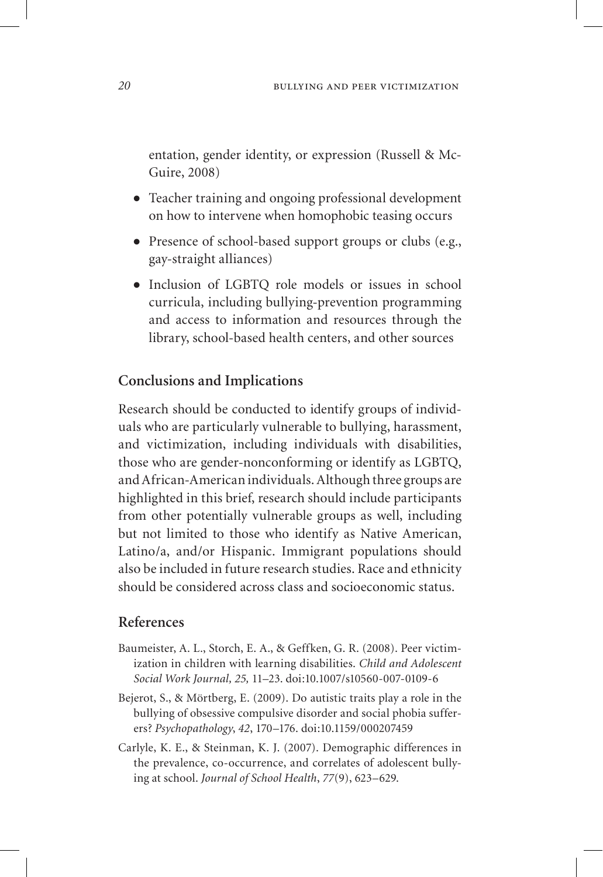entation, gender identity, or expression (Russell & Mc-Guire, 2008)

- Teacher training and ongoing professional development on how to intervene when homophobic teasing occurs
- Presence of school-based support groups or clubs (e.g., gay-straight alliances)
- Inclusion of LGBTQ role models or issues in school curricula, including bullying-prevention programming and access to information and resources through the library, school-based health centers, and other sources

#### **Conclusions and Implications**

Research should be conducted to identify groups of individuals who are particularly vulnerable to bullying, harassment, and victimization, including individuals with disabilities, those who are gender-nonconforming or identify as LGBTQ, and African-American individuals. Although three groups are highlighted in this brief, research should include participants from other potentially vulnerable groups as well, including but not limited to those who identify as Native American, Latino/a, and/or Hispanic. Immigrant populations should also be included in future research studies. Race and ethnicity should be considered across class and socioeconomic status.

#### **References**

- Baumeister, A. L., Storch, E. A., & Geffken, G. R. (2008). Peer victimization in children with learning disabilities. *Child and Adolescent Social Work Journal, 25,* 11–23. doi:10.1007/s10560-007-0109-6
- Bejerot, S., & Mörtberg, E. (2009). Do autistic traits play a role in the bullying of obsessive compulsive disorder and social phobia sufferers? *Psychopathology*, *42*, 170–176. doi:10.1159/000207459
- Carlyle, K. E., & Steinman, K. J. (2007). Demographic differences in the prevalence, co-occurrence, and correlates of adolescent bullying at school. *Journal of School Health*, *77*(9), 623–629.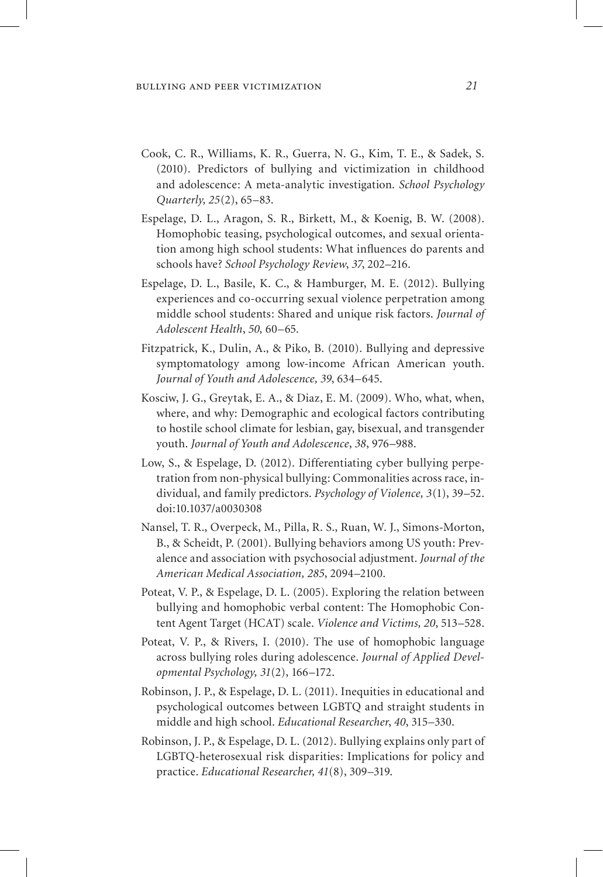- Cook, C. R., Williams, K. R., Guerra, N. G., Kim, T. E., & Sadek, S. (2010). Predictors of bullying and victimization in childhood and adolescence: A meta-analytic investigation. *School Psychology Quarterly, 25*(2), 65–83.
- Espelage, D. L., Aragon, S. R., Birkett, M., & Koenig, B. W. (2008). Homophobic teasing, psychological outcomes, and sexual orientation among high school students: What influences do parents and schools have? *School Psychology Review*, *37*, 202–216.
- Espelage, D. L., Basile, K. C., & Hamburger, M. E. (2012). Bullying experiences and co-occurring sexual violence perpetration among middle school students: Shared and unique risk factors. *Journal of Adolescent Health*, *50,* 60–65.
- Fitzpatrick, K., Dulin, A., & Piko, B. (2010). Bullying and depressive symptomatology among low-income African American youth. *Journal of Youth and Adolescence, 39*, 634–645.
- Kosciw, J. G., Greytak, E. A., & Diaz, E. M. (2009). Who, what, when, where, and why: Demographic and ecological factors contributing to hostile school climate for lesbian, gay, bisexual, and transgender youth. *Journal of Youth and Adolescence*, *38*, 976–988.
- Low, S., & Espelage, D. (2012). Differentiating cyber bullying perpetration from non-physical bullying: Commonalities across race, individual, and family predictors. *Psychology of Violence, 3*(1), 39–52. doi:10.1037/a0030308
- Nansel, T. R., Overpeck, M., Pilla, R. S., Ruan, W. J., Simons-Morton, B., & Scheidt, P. (2001). Bullying behaviors among US youth: Prevalence and association with psychosocial adjustment. *Journal of the American Medical Association, 285*, 2094–2100.
- Poteat, V. P., & Espelage, D. L. (2005). Exploring the relation between bullying and homophobic verbal content: The Homophobic Content Agent Target (HCAT) scale. *Violence and Victims, 20*, 513–528.
- Poteat, V. P., & Rivers, I. (2010). The use of homophobic language across bullying roles during adolescence. *Journal of Applied Developmental Psychology, 31*(2), 166–172.
- Robinson, J. P., & Espelage, D. L. (2011). Inequities in educational and psychological outcomes between LGBTQ and straight students in middle and high school. *Educational Researcher*, *40*, 315–330.
- Robinson, J. P., & Espelage, D. L. (2012). Bullying explains only part of LGBTQ-heterosexual risk disparities: Implications for policy and practice. *Educational Researcher, 41*(8), 309–319.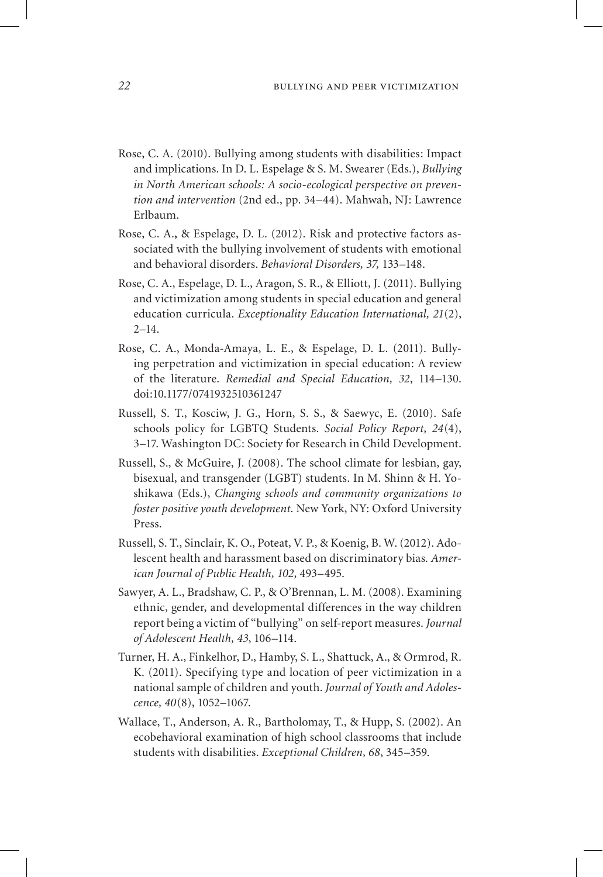- Rose, C. A. (2010). Bullying among students with disabilities: Impact and implications. In D. L. Espelage & S. M. Swearer (Eds.), *Bullying in North American schools: A socio-ecological perspective on prevention and intervention* (2nd ed., pp. 34–44). Mahwah, NJ: Lawrence Erlbaum.
- Rose, C. A.**,** & Espelage, D. L. (2012). Risk and protective factors associated with the bullying involvement of students with emotional and behavioral disorders. *Behavioral Disorders, 37,* 133–148.
- Rose, C. A., Espelage, D. L., Aragon, S. R., & Elliott, J. (2011). Bullying and victimization among students in special education and general education curricula. *Exceptionality Education International, 21*(2), 2–14.
- Rose, C. A., Monda-Amaya, L. E., & Espelage, D. L. (2011). Bullying perpetration and victimization in special education: A review of the literature. *Remedial and Special Education, 32*, 114–130. doi:10.1177/0741932510361247
- Russell, S. T., Kosciw, J. G., Horn, S. S., & Saewyc, E. (2010). Safe schools policy for LGBTQ Students. *Social Policy Report, 24*(4), 3–17. Washington DC: Society for Research in Child Development.
- Russell, S., & McGuire, J. (2008). The school climate for lesbian, gay, bisexual, and transgender (LGBT) students. In M. Shinn & H. Yoshikawa (Eds.), *Changing schools and community organizations to foster positive youth development*. New York, NY: Oxford University Press.
- Russell, S. T., Sinclair, K. O., Poteat, V. P., & Koenig, B. W. (2012). Adolescent health and harassment based on discriminatory bias*. American Journal of Public Health, 102,* 493–495.
- Sawyer, A. L., Bradshaw, C. P., & O'Brennan, L. M. (2008). Examining ethnic, gender, and developmental differences in the way children report being a victim of "bullying" on self-report measures. *Journal of Adolescent Health, 43*, 106–114.
- Turner, H. A., Finkelhor, D., Hamby, S. L., Shattuck, A., & Ormrod, R. K. (2011). Specifying type and location of peer victimization in a national sample of children and youth. *Journal of Youth and Adolescence, 40*(8), 1052–1067.
- Wallace, T., Anderson, A. R., Bartholomay, T., & Hupp, S. (2002). An ecobehavioral examination of high school classrooms that include students with disabilities. *Exceptional Children, 68*, 345–359.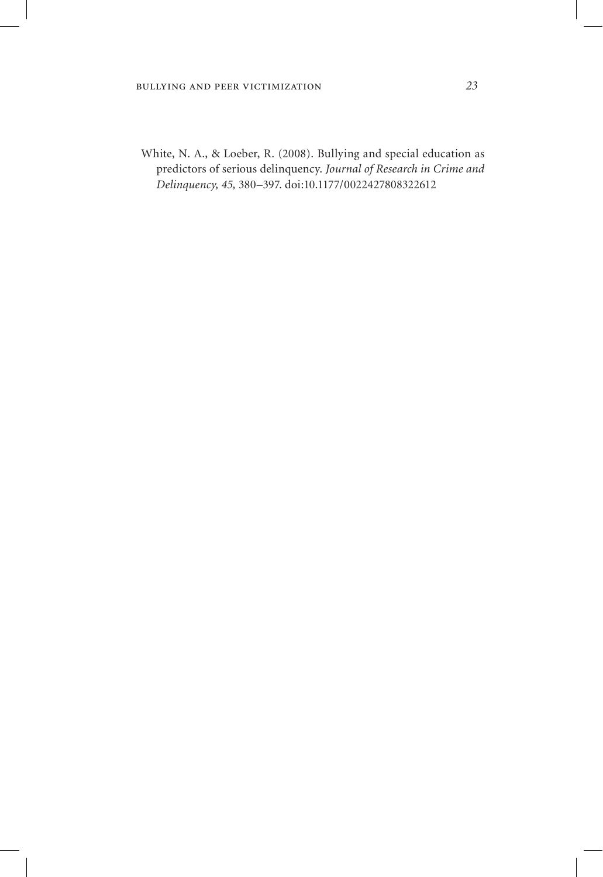#### bullying and peer victimization *23*

White, N. A., & Loeber, R. (2008). Bullying and special education as predictors of serious delinquency. *Journal of Research in Crime and Delinquency, 45,* 380–397. doi:10.1177/0022427808322612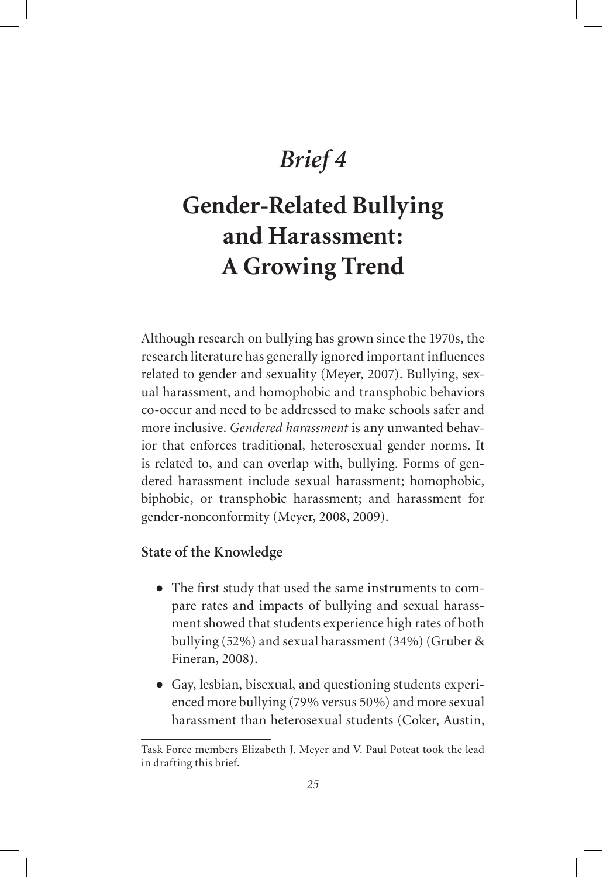# *Brief 4*

# **Gender-Related Bullying and Harassment: A Growing Trend**

Although research on bullying has grown since the 1970s, the research literature has generally ignored important influences related to gender and sexuality (Meyer, 2007). Bullying, sexual harassment, and homophobic and transphobic behaviors co-occur and need to be addressed to make schools safer and more inclusive. *Gendered harassment* is any unwanted behavior that enforces traditional, heterosexual gender norms. It is related to, and can overlap with, bullying. Forms of gendered harassment include sexual harassment; homophobic, biphobic, or transphobic harassment; and harassment for gender-nonconformity (Meyer, 2008, 2009).

#### **State of the Knowledge**

- The first study that used the same instruments to compare rates and impacts of bullying and sexual harassment showed that students experience high rates of both bullying (52%) and sexual harassment (34%) (Gruber & Fineran, 2008).
- Gay, lesbian, bisexual, and questioning students experienced more bullying (79% versus 50%) and more sexual harassment than heterosexual students (Coker, Austin,

Task Force members Elizabeth J. Meyer and V. Paul Poteat took the lead in drafting this brief.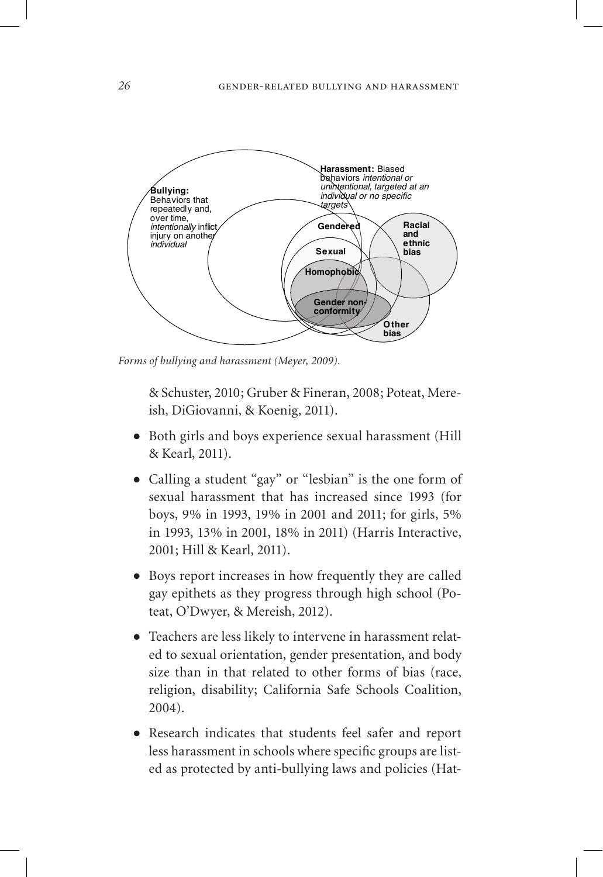

*Forms of bullying and harassment (Meyer, 2009).* 

& Schuster, 2010; Gruber & Fineran, 2008; Poteat, Mereish, DiGiovanni, & Koenig, 2011).

- Both girls and boys experience sexual harassment (Hill & Kearl, 2011).
- Calling a student "gay" or "lesbian" is the one form of sexual harassment that has increased since 1993 (for boys, 9% in 1993, 19% in 2001 and 2011; for girls, 5% in 1993, 13% in 2001, 18% in 2011) (Harris Interactive, 2001; Hill & Kearl, 2011).
- Boys report increases in how frequently they are called gay epithets as they progress through high school (Poteat, O'Dwyer, & Mereish, 2012).
- Teachers are less likely to intervene in harassment related to sexual orientation, gender presentation, and body size than in that related to other forms of bias (race, religion, disability; California Safe Schools Coalition, 2004).
- Research indicates that students feel safer and report less harassment in schools where specific groups are listed as protected by anti-bullying laws and policies (Hat-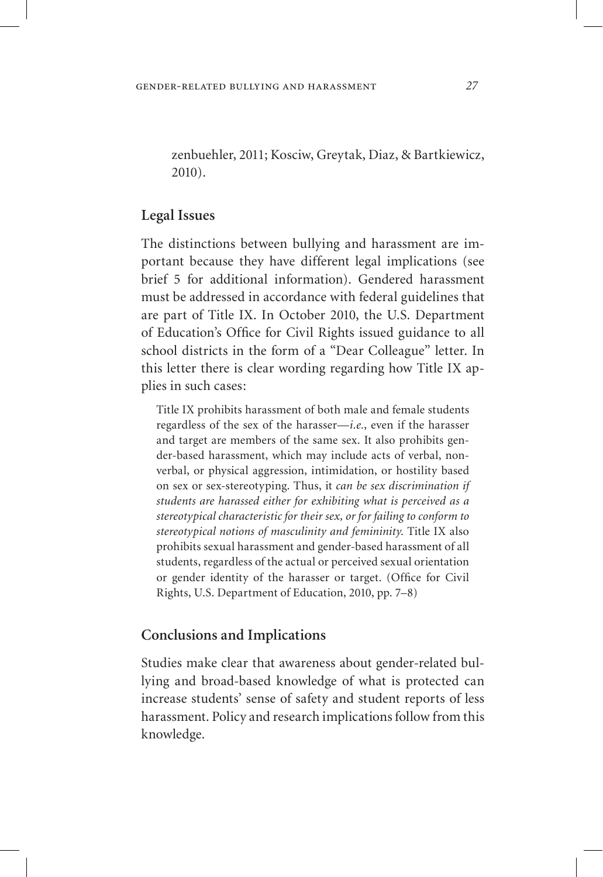zenbuehler, 2011; Kosciw, Greytak, Diaz, & Bartkiewicz, 2010).

#### **Legal Issues**

The distinctions between bullying and harassment are important because they have different legal implications (see brief 5 for additional information). Gendered harassment must be addressed in accordance with federal guidelines that are part of Title IX. In October 2010, the U.S. Department of Education's Office for Civil Rights issued guidance to all school districts in the form of a "Dear Colleague" letter. In this letter there is clear wording regarding how Title IX applies in such cases:

Title IX prohibits harassment of both male and female students regardless of the sex of the harasser—*i.e.*, even if the harasser and target are members of the same sex. It also prohibits gender-based harassment, which may include acts of verbal, nonverbal, or physical aggression, intimidation, or hostility based on sex or sex-stereotyping. Thus, it *can be sex discrimination if students are harassed either for exhibiting what is perceived as a stereotypical characteristic for their sex, or for failing to conform to stereotypical notions of masculinity and femininity*. Title IX also prohibits sexual harassment and gender-based harassment of all students, regardless of the actual or perceived sexual orientation or gender identity of the harasser or target. (Office for Civil Rights, U.S. Department of Education, 2010, pp. 7–8)

#### **Conclusions and Implications**

Studies make clear that awareness about gender-related bullying and broad-based knowledge of what is protected can increase students' sense of safety and student reports of less harassment. Policy and research implications follow from this knowledge.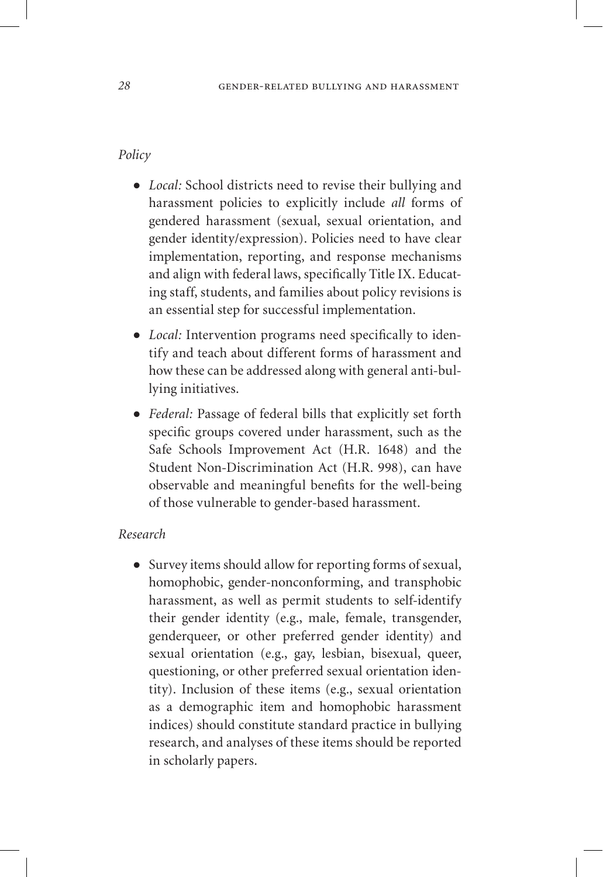#### *Policy*

- *Local:* School districts need to revise their bullying and harassment policies to explicitly include *all* forms of gendered harassment (sexual, sexual orientation, and gender identity/expression). Policies need to have clear implementation, reporting, and response mechanisms and align with federal laws, specifically Title IX. Educating staff, students, and families about policy revisions is an essential step for successful implementation.
- *Local:* Intervention programs need specifically to identify and teach about different forms of harassment and how these can be addressed along with general anti-bullying initiatives.
- *Federal:* Passage of federal bills that explicitly set forth specific groups covered under harassment, such as the Safe Schools Improvement Act (H.R. 1648) and the Student Non-Discrimination Act (H.R. 998), can have observable and meaningful benefits for the well-being of those vulnerable to gender-based harassment.

#### *Research*

• Survey items should allow for reporting forms of sexual, homophobic, gender-nonconforming, and transphobic harassment, as well as permit students to self-identify their gender identity (e.g., male, female, transgender, genderqueer, or other preferred gender identity) and sexual orientation (e.g., gay, lesbian, bisexual, queer, questioning, or other preferred sexual orientation identity). Inclusion of these items (e.g., sexual orientation as a demographic item and homophobic harassment indices) should constitute standard practice in bullying research, and analyses of these items should be reported in scholarly papers.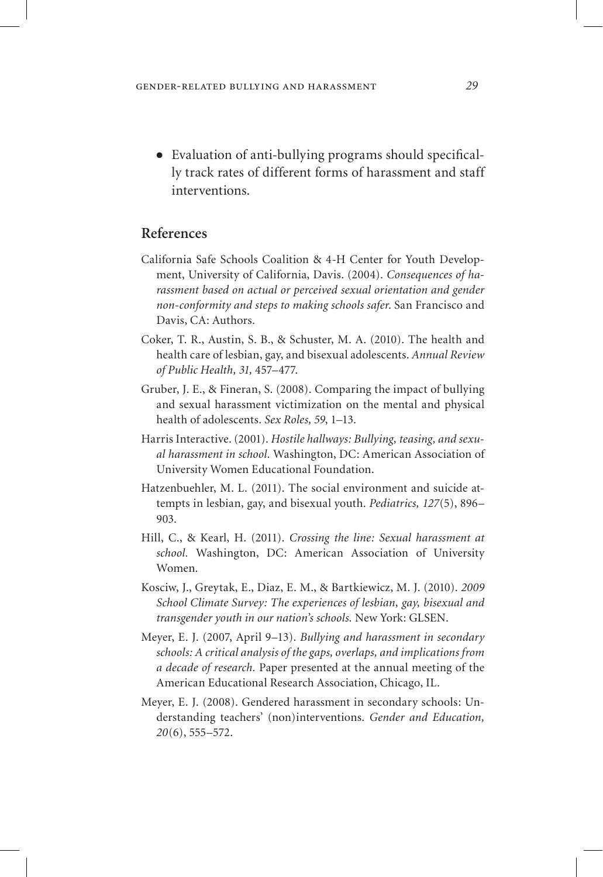• Evaluation of anti-bullying programs should specifically track rates of different forms of harassment and staff interventions.

- California Safe Schools Coalition & 4-H Center for Youth Development, University of California, Davis. (2004). *Consequences of ha*rassment based on actual or perceived sexual orientation and gender *non-conformity and steps to making schools safer*. San Francisco and Davis, CA: Authors.
- Coker, T. R., Austin, S. B., & Schuster, M. A. (2010). The health and health care of lesbian, gay, and bisexual adolescents. *Annual Review of Public Health, 31,* 457–477.
- Gruber, J. E., & Fineran, S. (2008). Comparing the impact of bullying and sexual harassment victimization on the mental and physical health of adolescents. *Sex Roles, 59*, 1–13.
- Harris Interactive. (2001). *Hostile hallways: Bullying, teasing, and sexual harassment in school.* Washington, DC: American Association of University Women Educational Foundation.
- Hatzenbuehler, M. L. (2011). The social environment and suicide attempts in lesbian, gay, and bisexual youth. *Pediatrics, 127*(5), 896– 903.
- Hill, C., & Kearl, H. (2011). *Crossing the line: Sexual harassment at school.* Washington, DC: American Association of University Women.
- Kosciw, J., Greytak, E., Diaz, E. M., & Bartkiewicz, M. J. (2010). *2009 School Climate Survey: The experiences of lesbian, gay, bisexual and transgender youth in our nation's schools.* New York: GLSEN.
- Meyer, E. J. (2007, April 9–13). *Bullying and harassment in secondary schools: A critical analysis of the gaps, overlaps, and implications from a decade of research.* Paper presented at the annual meeting of the American Educational Research Association, Chicago, IL.
- Meyer, E. J. (2008). Gendered harassment in secondary schools: Understanding teachers' (non)interventions. *Gender and Education, 20*(6), 555–572.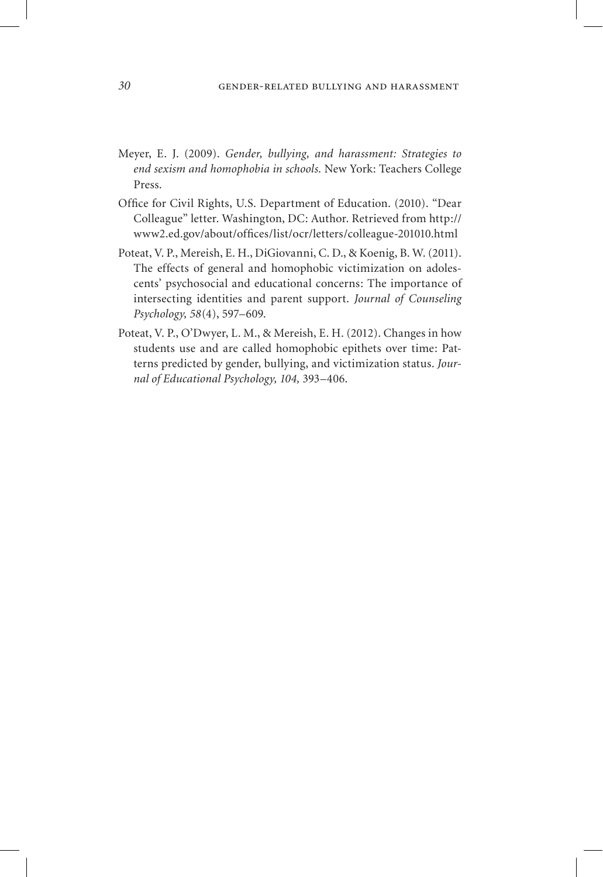- Meyer, E. J. (2009). *Gender, bullying, and harassment: Strategies to end sexism and homophobia in schools*. New York: Teachers College Press.
- Office for Civil Rights, U.S. Department of Education. (2010). "Dear Colleague" letter. Washington, DC: Author. Retrieved from http:// www2.ed.gov/about/offices/list/ocr/letters/colleague-201010.html
- Poteat, V. P., Mereish, E. H., DiGiovanni, C. D., & Koenig, B. W. (2011). The effects of general and homophobic victimization on adolescents' psychosocial and educational concerns: The importance of intersecting identities and parent support. *Journal of Counseling Psychology, 58*(4), 597–609.
- Poteat, V. P., O'Dwyer, L. M., & Mereish, E. H. (2012). Changes in how students use and are called homophobic epithets over time: Patterns predicted by gender, bullying, and victimization status. *Journal of Educational Psychology, 104,* 393–406.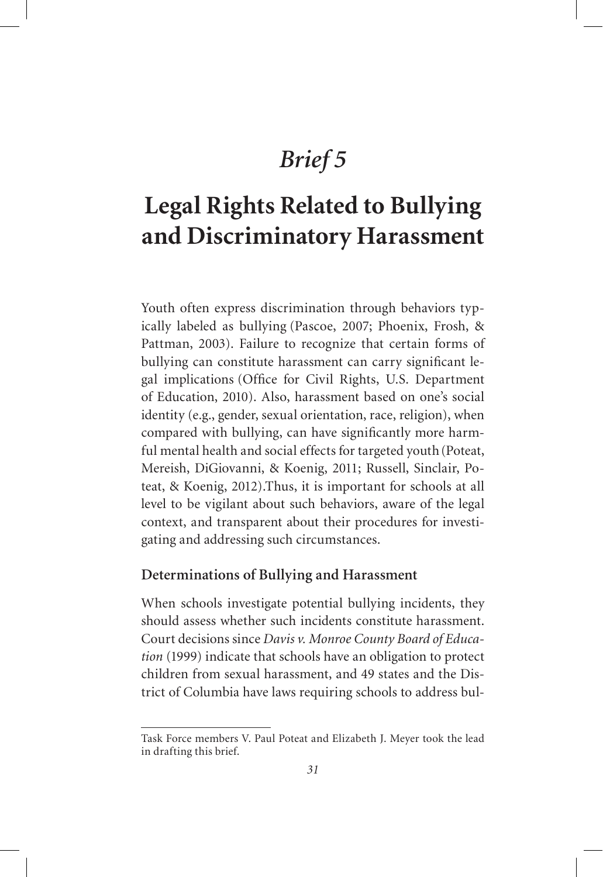# **Legal Rights Related to Bullying and Discriminatory Harassment**

Youth often express discrimination through behaviors typically labeled as bullying (Pascoe, 2007; Phoenix, Frosh, & Pattman, 2003). Failure to recognize that certain forms of bullying can constitute harassment can carry significant legal implications (Office for Civil Rights, U.S. Department of Education, 2010). Also, harassment based on one's social identity (e.g., gender, sexual orientation, race, religion), when compared with bullying, can have significantly more harmful mental health and social effects for targeted youth(Poteat, Mereish, DiGiovanni, & Koenig, 2011; Russell, Sinclair, Poteat, & Koenig, 2012).Thus, it is important for schools at all level to be vigilant about such behaviors, aware of the legal context, and transparent about their procedures for investigating and addressing such circumstances.

### **Determinations of Bullying and Harassment**

When schools investigate potential bullying incidents, they should assess whether such incidents constitute harassment. Court decisions since *Davis v. Monroe County Board of Education* (1999) indicate that schools have an obligation to protect children from sexual harassment, and 49 states and the District of Columbia have laws requiring schools to address bul-

Task Force members V. Paul Poteat and Elizabeth J. Meyer took the lead in drafting this brief.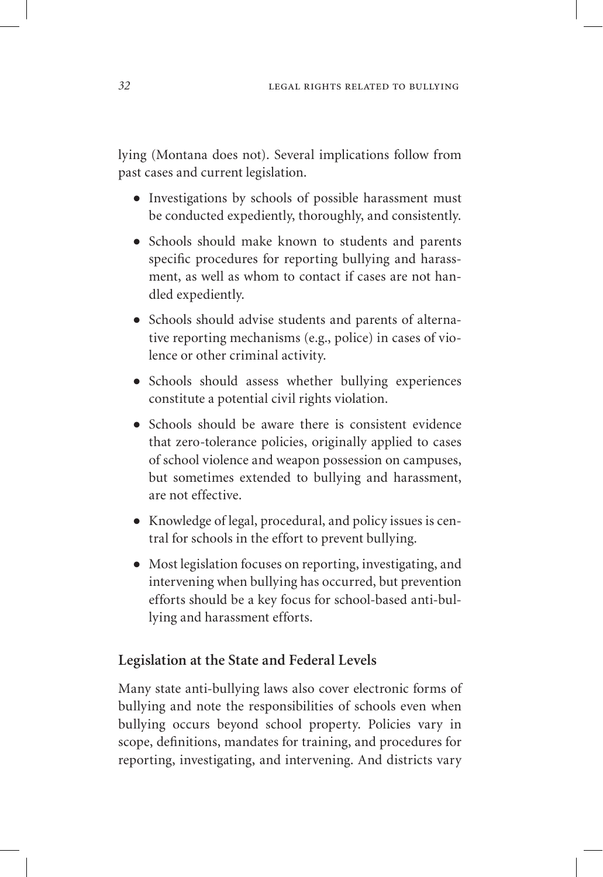lying (Montana does not). Several implications follow from past cases and current legislation.

- Investigations by schools of possible harassment must be conducted expediently, thoroughly, and consistently.
- Schools should make known to students and parents specific procedures for reporting bullying and harassment, as well as whom to contact if cases are not handled expediently.
- Schools should advise students and parents of alternative reporting mechanisms (e.g., police) in cases of violence or other criminal activity.
- Schools should assess whether bullying experiences constitute a potential civil rights violation.
- Schools should be aware there is consistent evidence that zero-tolerance policies, originally applied to cases of school violence and weapon possession on campuses, but sometimes extended to bullying and harassment, are not effective.
- Knowledge of legal, procedural, and policy issues is central for schools in the effort to prevent bullying.
- Most legislation focuses on reporting, investigating, and intervening when bullying has occurred, but prevention efforts should be a key focus for school-based anti-bullying and harassment efforts.

### **Legislation at the State and Federal Levels**

Many state anti-bullying laws also cover electronic forms of bullying and note the responsibilities of schools even when bullying occurs beyond school property. Policies vary in scope, definitions, mandates for training, and procedures for reporting, investigating, and intervening. And districts vary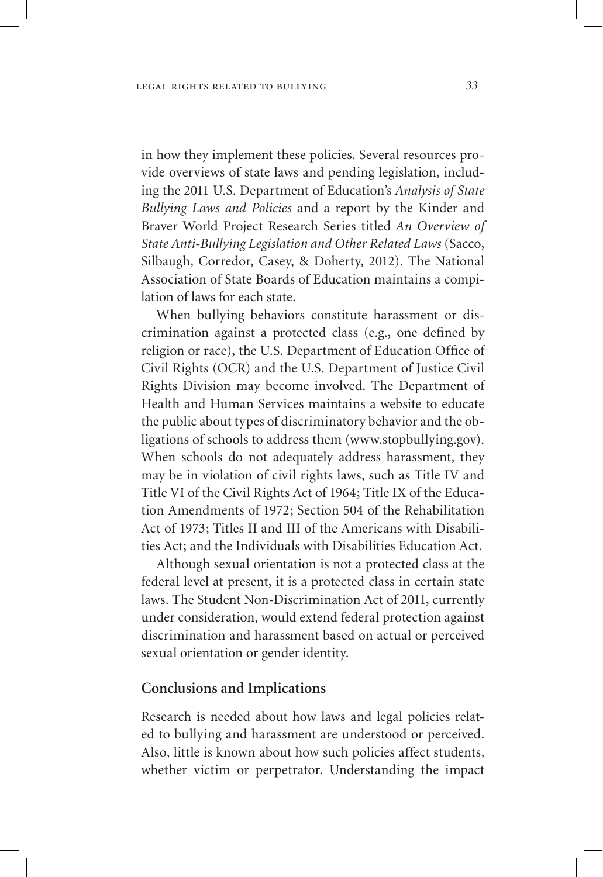in how they implement these policies. Several resources provide overviews of state laws and pending legislation, including the 2011 U.S. Department of Education's *Analysis of State Bullying Laws and Policies* and a report by the Kinder and Braver World Project Research Series titled *An Overview of State Anti-Bullying Legislation and Other Related Laws* (Sacco, Silbaugh, Corredor, Casey, & Doherty, 2012). The National Association of State Boards of Education maintains a compilation of laws for each state.

When bullying behaviors constitute harassment or discrimination against a protected class (e.g., one defined by religion or race), the U.S. Department of Education Office of Civil Rights (OCR) and the U.S. Department of Justice Civil Rights Division may become involved. The Department of Health and Human Services maintains a website to educate the public about types of discriminatory behavior and the obligations of schools to address them (www.stopbullying.gov). When schools do not adequately address harassment, they may be in violation of civil rights laws, such as Title IV and Title VI of the Civil Rights Act of 1964; Title IX of the Education Amendments of 1972; Section 504 of the Rehabilitation Act of 1973; Titles II and III of the Americans with Disabilities Act; and the Individuals with Disabilities Education Act.

Although sexual orientation is not a protected class at the federal level at present, it is a protected class in certain state laws. The Student Non-Discrimination Act of 2011, currently under consideration, would extend federal protection against discrimination and harassment based on actual or perceived sexual orientation or gender identity.

#### **Conclusions and Implications**

Research is needed about how laws and legal policies related to bullying and harassment are understood or perceived. Also, little is known about how such policies affect students, whether victim or perpetrator. Understanding the impact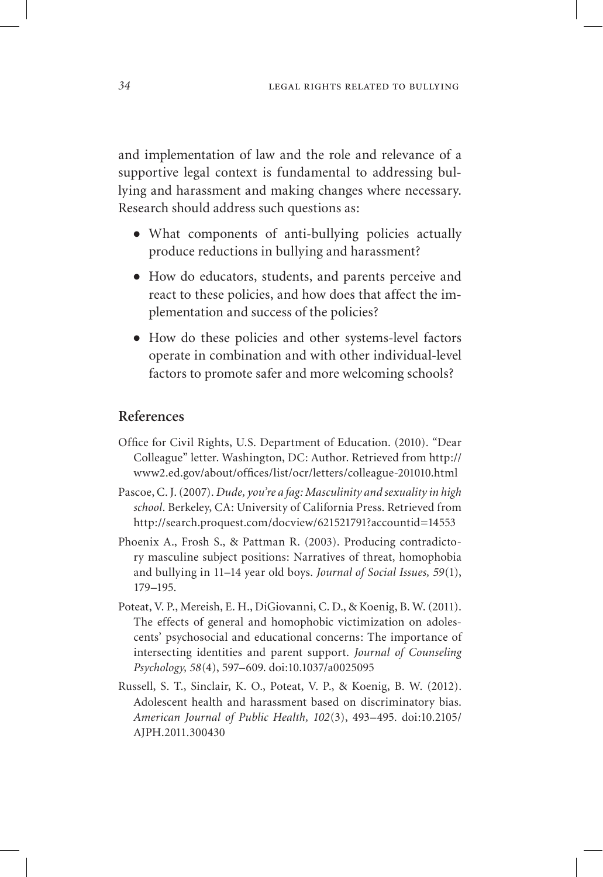and implementation of law and the role and relevance of a supportive legal context is fundamental to addressing bullying and harassment and making changes where necessary. Research should address such questions as:

- What components of anti-bullying policies actually produce reductions in bullying and harassment?
- How do educators, students, and parents perceive and react to these policies, and how does that affect the implementation and success of the policies?
- How do these policies and other systems-level factors operate in combination and with other individual-level factors to promote safer and more welcoming schools?

- Office for Civil Rights, U.S. Department of Education. (2010). "Dear Colleague" letter. Washington, DC: Author. Retrieved from http:// www2.ed.gov/about/offices/list/ocr/letters/colleague-201010.html
- Pascoe, C. J. (2007). *Dude, you're a fag: Masculinity and sexuality in high school*. Berkeley, CA: University of California Press. Retrieved from http://search.proquest.com/docview/621521791?accountid=14553
- Phoenix A., Frosh S., & Pattman R. (2003). Producing contradictory masculine subject positions: Narratives of threat, homophobia and bullying in 11–14 year old boys. *Journal of Social Issues, 59*(1), 179–195.
- Poteat, V. P., Mereish, E. H., DiGiovanni, C. D., & Koenig, B. W. (2011). The effects of general and homophobic victimization on adolescents' psychosocial and educational concerns: The importance of intersecting identities and parent support. *Journal of Counseling Psychology, 58*(4), 597–609. doi:10.1037/a0025095
- Russell, S. T., Sinclair, K. O., Poteat, V. P., & Koenig, B. W. (2012). Adolescent health and harassment based on discriminatory bias. *American Journal of Public Health, 102*(3), 493–495. doi:10.2105/ AJPH.2011.300430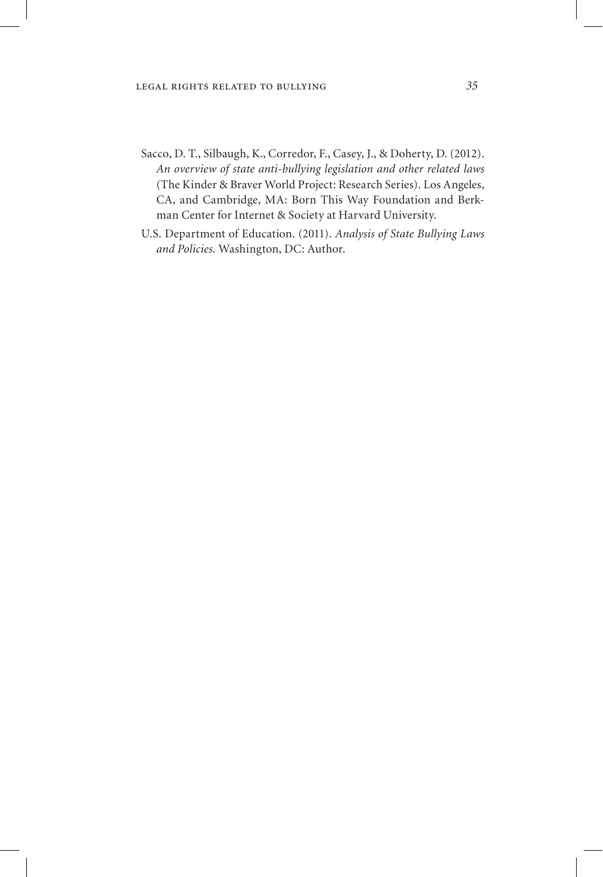- Sacco, D. T., Silbaugh, K., Corredor, F., Casey, J., & Doherty, D. (2012). *An overview of state anti-bullying legislation and other related laws* (The Kinder & Braver World Project: Research Series). Los Angeles, CA, and Cambridge, MA: Born This Way Foundation and Berkman Center for Internet & Society at Harvard University.
- U.S. Department of Education. (2011). *Analysis of State Bullying Laws and Policies.* Washington, DC: Author.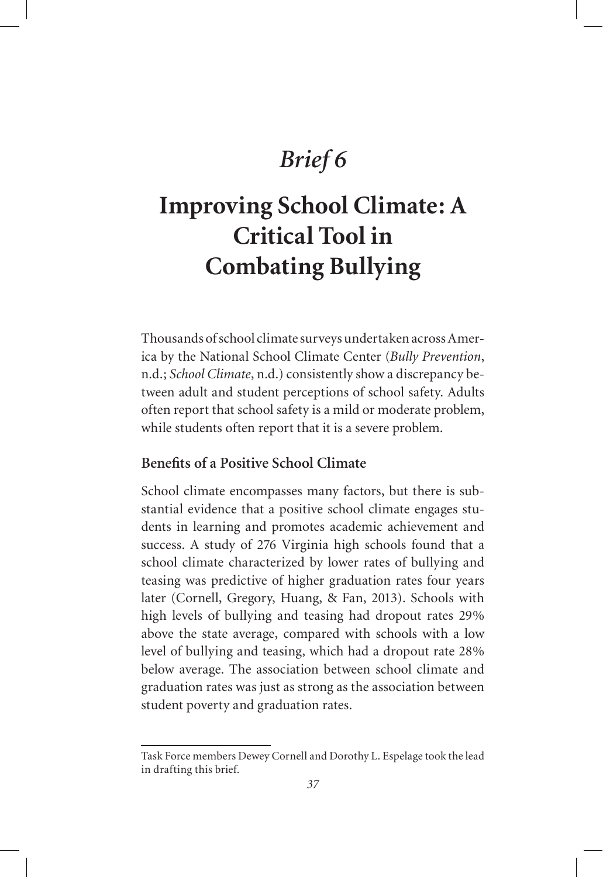# **Improving School Climate: A Critical Tool in Combating Bullying**

Thousands of school climate surveys undertaken across America by the National School Climate Center (*Bully Prevention*, n.d.; *School Climate*, n.d.) consistently show a discrepancy between adult and student perceptions of school safety. Adults often report that school safety is a mild or moderate problem, while students often report that it is a severe problem.

## **Benefits of a Positive School Climate**

School climate encompasses many factors, but there is substantial evidence that a positive school climate engages students in learning and promotes academic achievement and success. A study of 276 Virginia high schools found that a school climate characterized by lower rates of bullying and teasing was predictive of higher graduation rates four years later (Cornell, Gregory, Huang, & Fan, 2013). Schools with high levels of bullying and teasing had dropout rates 29% above the state average, compared with schools with a low level of bullying and teasing, which had a dropout rate 28% below average. The association between school climate and graduation rates was just as strong as the association between student poverty and graduation rates.

Task Force members Dewey Cornell and Dorothy L. Espelage took the lead in drafting this brief.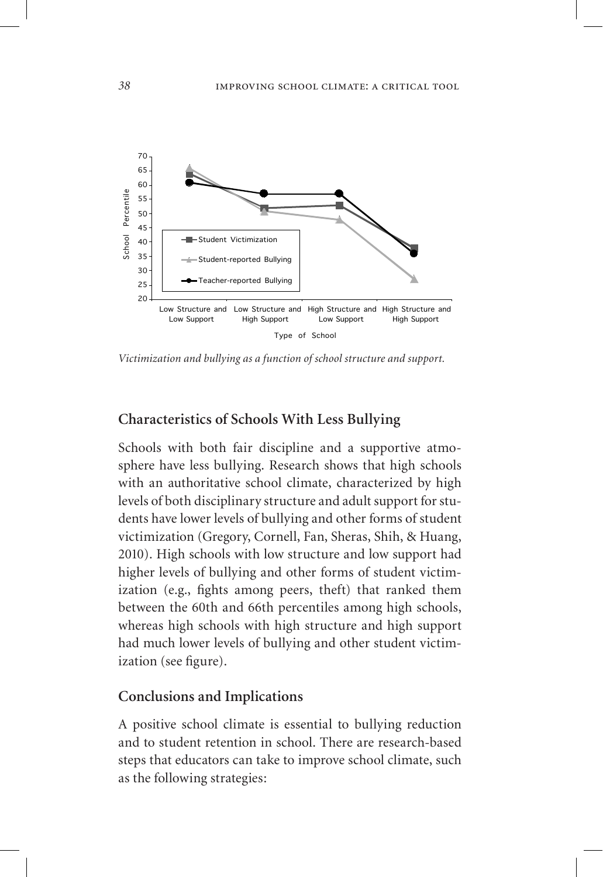

*Victimization and bullying as a function of school structure and support.*

#### **Characteristics of Schools With Less Bullying**

Schools with both fair discipline and a supportive atmosphere have less bullying. Research shows that high schools with an authoritative school climate, characterized by high levels of both disciplinary structure and adult support for students have lower levels of bullying and other forms of student victimization (Gregory, Cornell, Fan, Sheras, Shih, & Huang, 2010). High schools with low structure and low support had higher levels of bullying and other forms of student victimization (e.g., fights among peers, theft) that ranked them between the 60th and 66th percentiles among high schools, whereas high schools with high structure and high support had much lower levels of bullying and other student victimization (see figure).

### **Conclusions and Implications**

A positive school climate is essential to bullying reduction and to student retention in school. There are research-based steps that educators can take to improve school climate, such as the following strategies: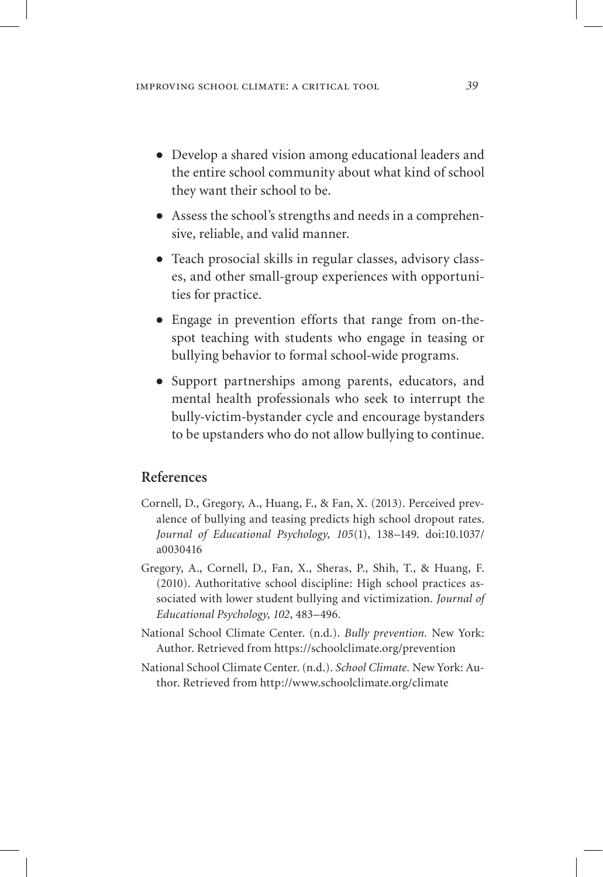- Develop a shared vision among educational leaders and the entire school community about what kind of school they want their school to be.
- Assess the school's strengths and needs in a comprehensive, reliable, and valid manner.
- Teach prosocial skills in regular classes, advisory classes, and other small-group experiences with opportunities for practice.
- Engage in prevention efforts that range from on-thespot teaching with students who engage in teasing or bullying behavior to formal school-wide programs.
- Support partnerships among parents, educators, and mental health professionals who seek to interrupt the bully-victim-bystander cycle and encourage bystanders to be upstanders who do not allow bullying to continue.

- Cornell, D., Gregory, A., Huang, F., & Fan, X. (2013). Perceived prevalence of bullying and teasing predicts high school dropout rates. *Journal of Educational Psychology, 105*(1), 138–149. doi:10.1037/ a0030416
- Gregory, A., Cornell, D., Fan, X., Sheras, P., Shih, T., & Huang, F. (2010). Authoritative school discipline: High school practices associated with lower student bullying and victimization. *Journal of Educational Psychology, 102*, 483–496.
- National School Climate Center. (n.d.). *Bully prevention.* New York: Author. Retrieved from https://schoolclimate.org/prevention
- National School Climate Center. (n.d.). *School Climate.* New York: Author. Retrieved from http://www.schoolclimate.org/climate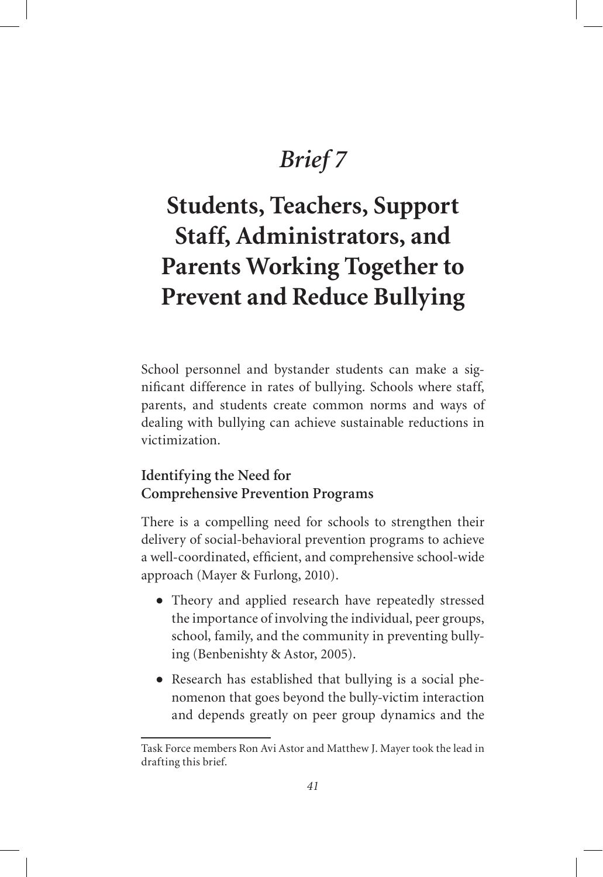# **Students, Teachers, Support Staff, Administrators, and Parents Working Together to Prevent and Reduce Bullying**

School personnel and bystander students can make a significant difference in rates of bullying. Schools where staff, parents, and students create common norms and ways of dealing with bullying can achieve sustainable reductions in victimization.

# **Identifying the Need for Comprehensive Prevention Programs**

There is a compelling need for schools to strengthen their delivery of social-behavioral prevention programs to achieve a well-coordinated, efficient, and comprehensive school-wide approach (Mayer & Furlong, 2010).

- Theory and applied research have repeatedly stressed the importance of involving the individual, peer groups, school, family, and the community in preventing bullying (Benbenishty & Astor, 2005).
- Research has established that bullying is a social phenomenon that goes beyond the bully-victim interaction and depends greatly on peer group dynamics and the

Task Force members Ron Avi Astor and Matthew J. Mayer took the lead in drafting this brief.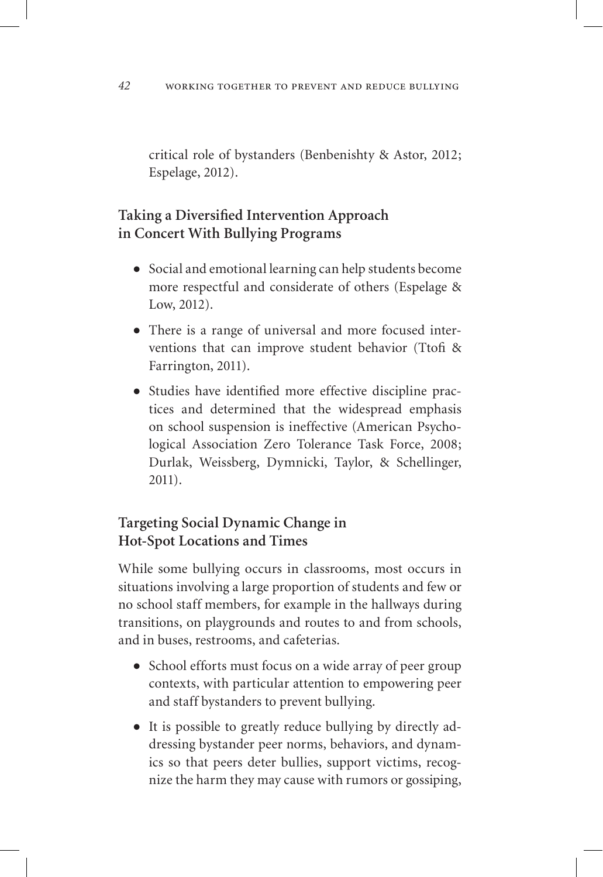critical role of bystanders (Benbenishty & Astor, 2012; Espelage, 2012).

# **Taking a Diversified Intervention Approach in Concert With Bullying Programs**

- Social and emotional learning can help students become more respectful and considerate of others (Espelage & Low, 2012).
- There is a range of universal and more focused interventions that can improve student behavior (Ttofi & Farrington, 2011).
- Studies have identified more effective discipline practices and determined that the widespread emphasis on school suspension is ineffective (American Psychological Association Zero Tolerance Task Force, 2008; Durlak, Weissberg, Dymnicki, Taylor, & Schellinger, 2011).

## **Targeting Social Dynamic Change in Hot-Spot Locations and Times**

While some bullying occurs in classrooms, most occurs in situations involving a large proportion of students and few or no school staff members, for example in the hallways during transitions, on playgrounds and routes to and from schools, and in buses, restrooms, and cafeterias.

- School efforts must focus on a wide array of peer group contexts, with particular attention to empowering peer and staff bystanders to prevent bullying.
- It is possible to greatly reduce bullying by directly addressing bystander peer norms, behaviors, and dynamics so that peers deter bullies, support victims, recognize the harm they may cause with rumors or gossiping,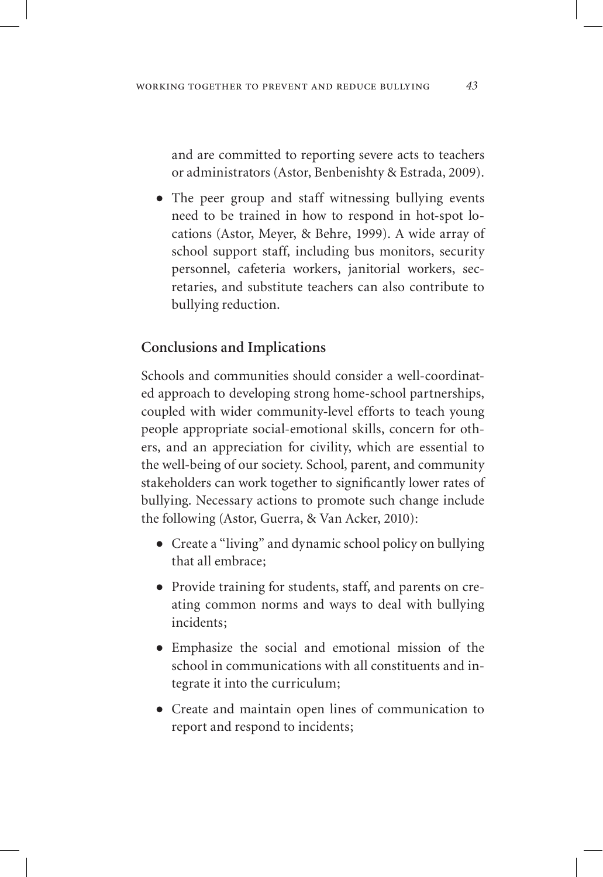and are committed to reporting severe acts to teachers or administrators (Astor, Benbenishty & Estrada, 2009).

• The peer group and staff witnessing bullying events need to be trained in how to respond in hot-spot locations (Astor, Meyer, & Behre, 1999). A wide array of school support staff, including bus monitors, security personnel, cafeteria workers, janitorial workers, secretaries, and substitute teachers can also contribute to bullying reduction.

### **Conclusions and Implications**

Schools and communities should consider a well-coordinated approach to developing strong home-school partnerships, coupled with wider community-level efforts to teach young people appropriate social-emotional skills, concern for others, and an appreciation for civility, which are essential to the well-being of our society. School, parent, and community stakeholders can work together to significantly lower rates of bullying. Necessary actions to promote such change include the following (Astor, Guerra, & Van Acker, 2010):

- Create a "living" and dynamic school policy on bullying that all embrace;
- Provide training for students, staff, and parents on creating common norms and ways to deal with bullying incidents;
- Emphasize the social and emotional mission of the school in communications with all constituents and integrate it into the curriculum;
- Create and maintain open lines of communication to report and respond to incidents;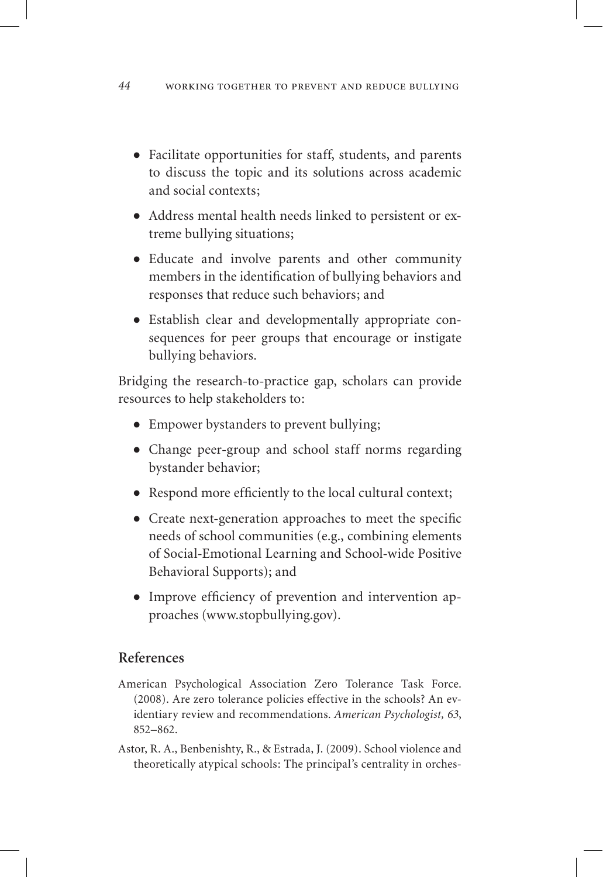- Facilitate opportunities for staff, students, and parents to discuss the topic and its solutions across academic and social contexts;
- Address mental health needs linked to persistent or extreme bullying situations;
- Educate and involve parents and other community members in the identification of bullying behaviors and responses that reduce such behaviors; and
- Establish clear and developmentally appropriate consequences for peer groups that encourage or instigate bullying behaviors.

Bridging the research-to-practice gap, scholars can provide resources to help stakeholders to:

- Empower bystanders to prevent bullying;
- Change peer-group and school staff norms regarding bystander behavior;
- Respond more efficiently to the local cultural context;
- Create next-generation approaches to meet the specific needs of school communities (e.g., combining elements of Social-Emotional Learning and School-wide Positive Behavioral Supports); and
- Improve efficiency of prevention and intervention approaches (www.stopbullying.gov).

- American Psychological Association Zero Tolerance Task Force. (2008). Are zero tolerance policies effective in the schools? An evidentiary review and recommendations. *American Psychologist, 63*, 852–862.
- Astor, R. A., Benbenishty, R., & Estrada, J. (2009). School violence and theoretically atypical schools: The principal's centrality in orches-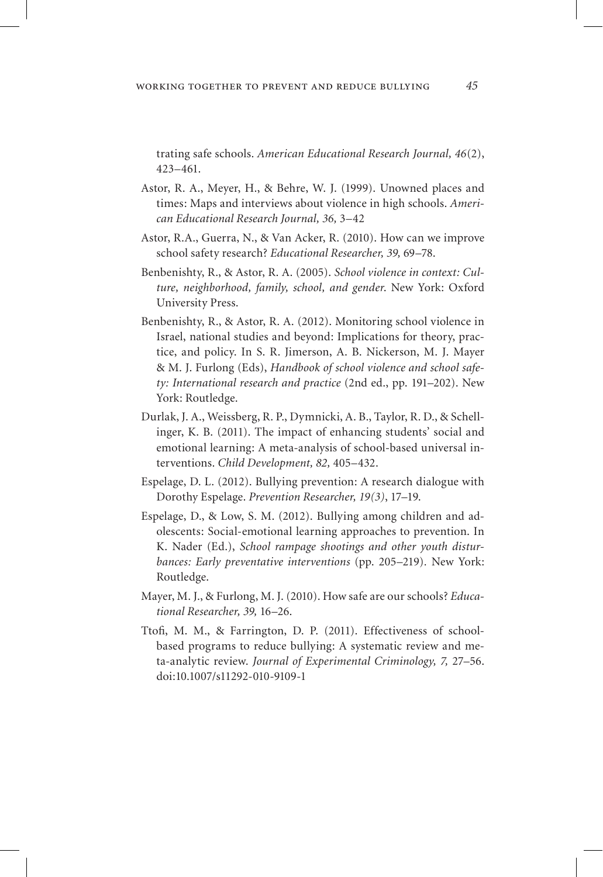trating safe schools. *American Educational Research Journal, 46*(2), 423–461.

- Astor, R. A., Meyer, H., & Behre, W. J. (1999). Unowned places and times: Maps and interviews about violence in high schools. *American Educational Research Journal, 36,* 3–42
- Astor, R.A., Guerra, N., & Van Acker, R. (2010). How can we improve school safety research? *Educational Researcher, 39,* 69–78.
- Benbenishty, R., & Astor, R. A. (2005). *School violence in context: Culture, neighborhood, family, school, and gender*. New York: Oxford University Press.
- Benbenishty, R., & Astor, R. A. (2012). Monitoring school violence in Israel, national studies and beyond: Implications for theory, practice, and policy. In S. R. Jimerson, A. B. Nickerson, M. J. Mayer & M. J. Furlong (Eds), *Handbook of school violence and school safety: International research and practice* (2nd ed., pp. 191–202). New York: Routledge.
- Durlak, J. A., Weissberg, R. P., Dymnicki, A. B., Taylor, R. D., & Schellinger, K. B. (2011). The impact of enhancing students' social and emotional learning: A meta-analysis of school-based universal interventions. *Child Development, 82,* 405–432.
- Espelage, D. L. (2012). Bullying prevention: A research dialogue with Dorothy Espelage. *Prevention Researcher, 19(3)*, 17–19.
- Espelage, D., & Low, S. M. (2012). Bullying among children and adolescents: Social-emotional learning approaches to prevention. In K. Nader (Ed.), *School rampage shootings and other youth disturbances: Early preventative interventions* (pp. 205–219)*.* New York: Routledge.
- Mayer, M. J., & Furlong, M. J. (2010). How safe are our schools? *Educational Researcher, 39,* 16–26.
- Ttofi, M. M., & Farrington, D. P. (2011). Effectiveness of schoolbased programs to reduce bullying: A systematic review and meta-analytic review. *Journal of Experimental Criminology, 7,* 27–56. doi:10.1007/s11292-010-9109-1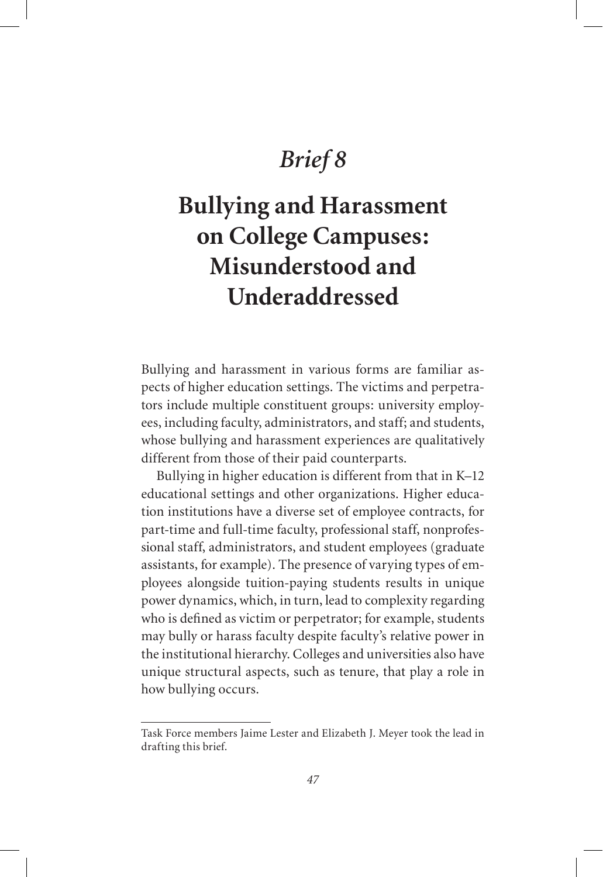# **Bullying and Harassment on College Campuses: Misunderstood and Underaddressed**

Bullying and harassment in various forms are familiar aspects of higher education settings. The victims and perpetrators include multiple constituent groups: university employees, including faculty, administrators, and staff; and students, whose bullying and harassment experiences are qualitatively different from those of their paid counterparts.

Bullying in higher education is different from that in K–12 educational settings and other organizations. Higher education institutions have a diverse set of employee contracts, for part-time and full-time faculty, professional staff, nonprofessional staff, administrators, and student employees (graduate assistants, for example). The presence of varying types of employees alongside tuition-paying students results in unique power dynamics, which, in turn, lead to complexity regarding who is defined as victim or perpetrator; for example, students may bully or harass faculty despite faculty's relative power in the institutional hierarchy. Colleges and universities also have unique structural aspects, such as tenure, that play a role in how bullying occurs.

Task Force members Jaime Lester and Elizabeth J. Meyer took the lead in drafting this brief.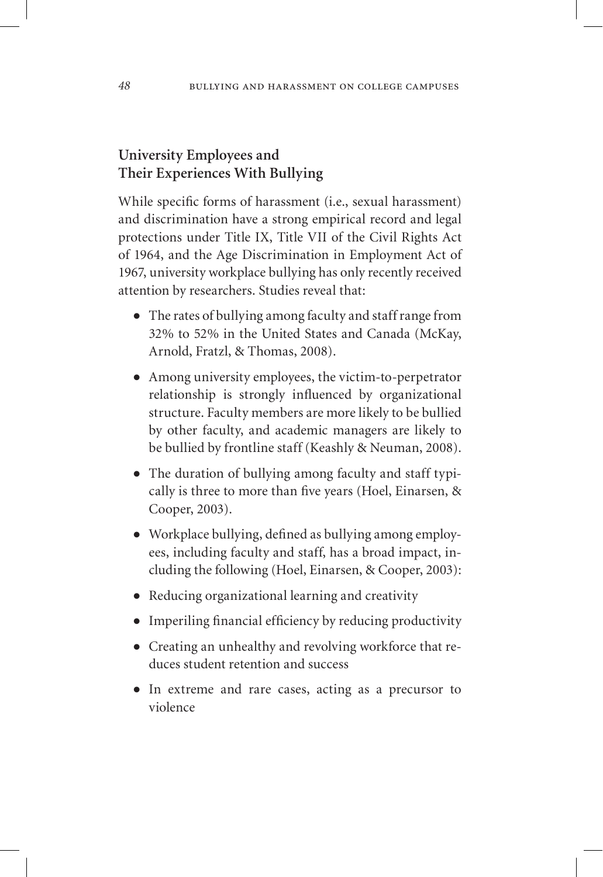# **University Employees and Their Experiences With Bullying**

While specific forms of harassment (i.e., sexual harassment) and discrimination have a strong empirical record and legal protections under Title IX, Title VII of the Civil Rights Act of 1964, and the Age Discrimination in Employment Act of 1967, university workplace bullying has only recently received attention by researchers. Studies reveal that:

- The rates of bullying among faculty and staff range from 32% to 52% in the United States and Canada (McKay, Arnold, Fratzl, & Thomas, 2008).
- Among university employees, the victim-to-perpetrator relationship is strongly influenced by organizational structure. Faculty members are more likely to be bullied by other faculty, and academic managers are likely to be bullied by frontline staff (Keashly & Neuman, 2008).
- The duration of bullying among faculty and staff typically is three to more than five years (Hoel, Einarsen, & Cooper, 2003).
- Workplace bullying, defined as bullying among employees, including faculty and staff, has a broad impact, including the following (Hoel, Einarsen, & Cooper, 2003):
- Reducing organizational learning and creativity
- Imperiling financial efficiency by reducing productivity
- Creating an unhealthy and revolving workforce that reduces student retention and success
- In extreme and rare cases, acting as a precursor to violence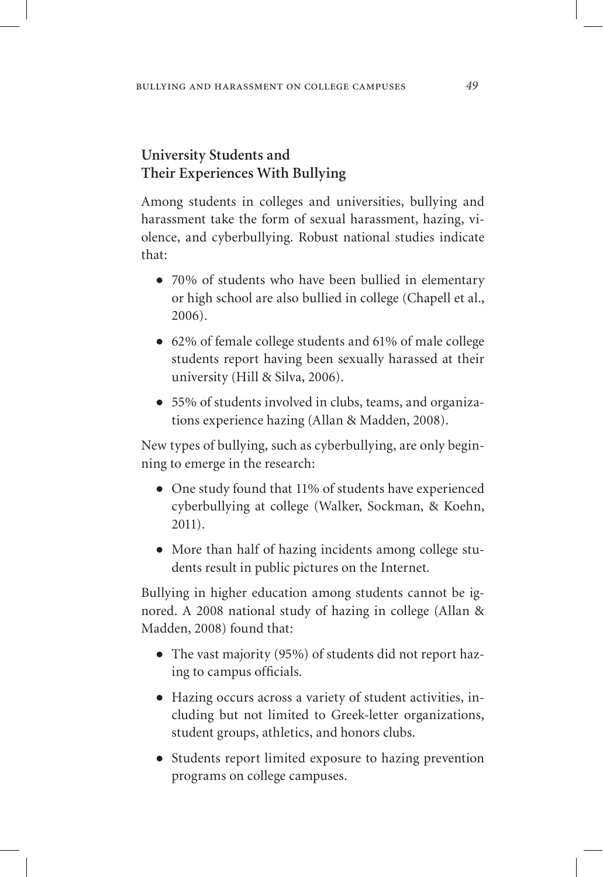# **University Students and Their Experiences With Bullying**

Among students in colleges and universities, bullying and harassment take the form of sexual harassment, hazing, violence, and cyberbullying. Robust national studies indicate that:

- 70% of students who have been bullied in elementary or high school are also bullied in college (Chapell et al., 2006).
- 62% of female college students and 61% of male college students report having been sexually harassed at their university (Hill & Silva, 2006).
- 55% of students involved in clubs, teams, and organizations experience hazing (Allan & Madden, 2008).

New types of bullying, such as cyberbullying, are only beginning to emerge in the research:

- One study found that 11% of students have experienced cyberbullying at college (Walker, Sockman, & Koehn, 2011).
- More than half of hazing incidents among college students result in public pictures on the Internet.

Bullying in higher education among students cannot be ignored. A 2008 national study of hazing in college (Allan & Madden, 2008) found that:

- The vast majority (95%) of students did not report hazing to campus officials.
- Hazing occurs across a variety of student activities, including but not limited to Greek-letter organizations, student groups, athletics, and honors clubs.
- Students report limited exposure to hazing prevention programs on college campuses.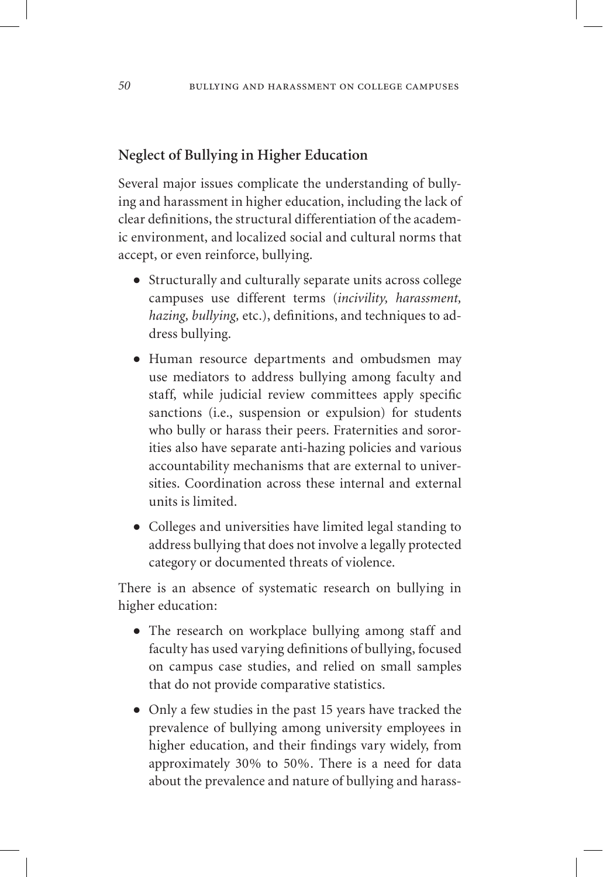# **Neglect of Bullying in Higher Education**

Several major issues complicate the understanding of bullying and harassment in higher education, including the lack of clear definitions, the structural differentiation of the academic environment, and localized social and cultural norms that accept, or even reinforce, bullying.

- Structurally and culturally separate units across college campuses use different terms (*incivility, harassment, hazing, bullying,* etc.), definitions, and techniques to address bullying.
- Human resource departments and ombudsmen may use mediators to address bullying among faculty and staff, while judicial review committees apply specific sanctions (i.e., suspension or expulsion) for students who bully or harass their peers. Fraternities and sororities also have separate anti-hazing policies and various accountability mechanisms that are external to universities. Coordination across these internal and external units is limited.
- Colleges and universities have limited legal standing to address bullying that does not involve a legally protected category or documented threats of violence.

There is an absence of systematic research on bullying in higher education:

- The research on workplace bullying among staff and faculty has used varying definitions of bullying, focused on campus case studies, and relied on small samples that do not provide comparative statistics.
- Only a few studies in the past 15 years have tracked the prevalence of bullying among university employees in higher education, and their findings vary widely, from approximately 30% to 50%. There is a need for data about the prevalence and nature of bullying and harass-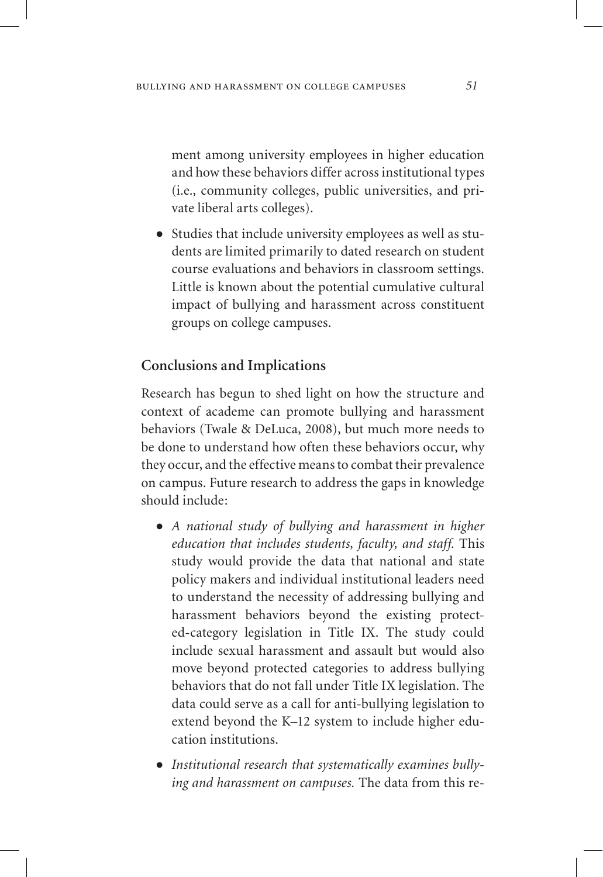ment among university employees in higher education and how these behaviors differ across institutional types (i.e., community colleges, public universities, and private liberal arts colleges).

● Studies that include university employees as well as students are limited primarily to dated research on student course evaluations and behaviors in classroom settings. Little is known about the potential cumulative cultural impact of bullying and harassment across constituent groups on college campuses.

### **Conclusions and Implications**

Research has begun to shed light on how the structure and context of academe can promote bullying and harassment behaviors (Twale & DeLuca, 2008), but much more needs to be done to understand how often these behaviors occur, why they occur, and the effective means to combat their prevalence on campus. Future research to address the gaps in knowledge should include:

- *A national study of bullying and harassment in higher education that includes students, faculty, and staff.* This study would provide the data that national and state policy makers and individual institutional leaders need to understand the necessity of addressing bullying and harassment behaviors beyond the existing protected-category legislation in Title IX. The study could include sexual harassment and assault but would also move beyond protected categories to address bullying behaviors that do not fall under Title IX legislation. The data could serve as a call for anti-bullying legislation to extend beyond the K–12 system to include higher education institutions.
- *Institutional research that systematically examines bullying and harassment on campuses.* The data from this re-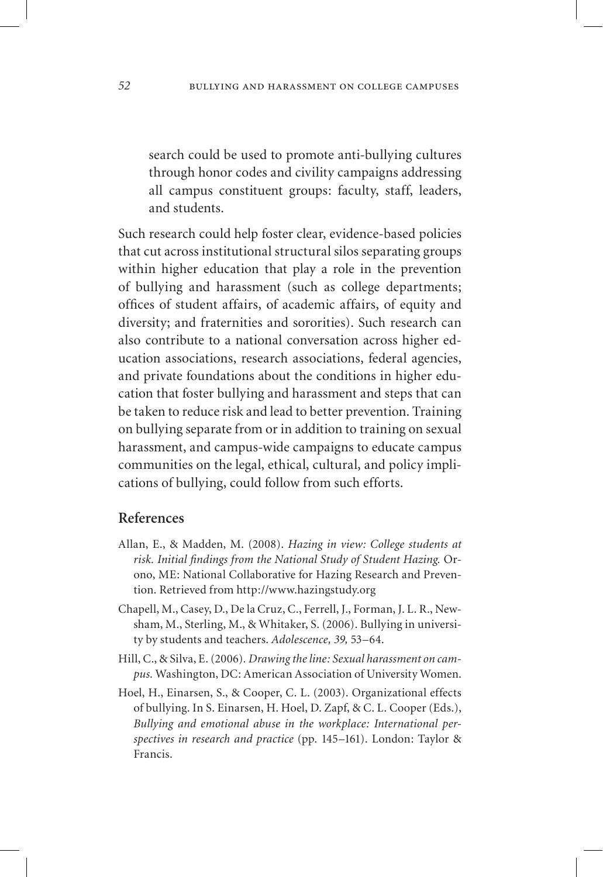search could be used to promote anti-bullying cultures through honor codes and civility campaigns addressing all campus constituent groups: faculty, staff, leaders, and students.

Such research could help foster clear, evidence-based policies that cut across institutional structural silos separating groups within higher education that play a role in the prevention of bullying and harassment (such as college departments; offices of student affairs, of academic affairs, of equity and diversity; and fraternities and sororities). Such research can also contribute to a national conversation across higher education associations, research associations, federal agencies, and private foundations about the conditions in higher education that foster bullying and harassment and steps that can be taken to reduce risk and lead to better prevention. Training on bullying separate from or in addition to training on sexual harassment, and campus-wide campaigns to educate campus communities on the legal, ethical, cultural, and policy implications of bullying, could follow from such efforts.

- Allan, E., & Madden, M. (2008). *Hazing in view: College students at risk. Initial findings from the National Study of Student Hazing.* Orono, ME: National Collaborative for Hazing Research and Prevention. Retrieved from http://www.hazingstudy.org
- Chapell, M., Casey, D., De la Cruz, C., Ferrell, J., Forman, J. L. R., Newsham, M., Sterling, M., & Whitaker, S. (2006). Bullying in university by students and teachers. *Adolescence, 39,* 53–64.
- Hill, C., & Silva, E. (2006)*. Drawing the line: Sexual harassment on campus.* Washington, DC: American Association of University Women.
- Hoel, H., Einarsen, S., & Cooper, C. L. (2003). Organizational effects of bullying. In S. Einarsen, H. Hoel, D. Zapf, & C. L. Cooper (Eds.), *Bullying and emotional abuse in the workplace: International perspectives in research and practice* (pp. 145–161). London: Taylor & Francis.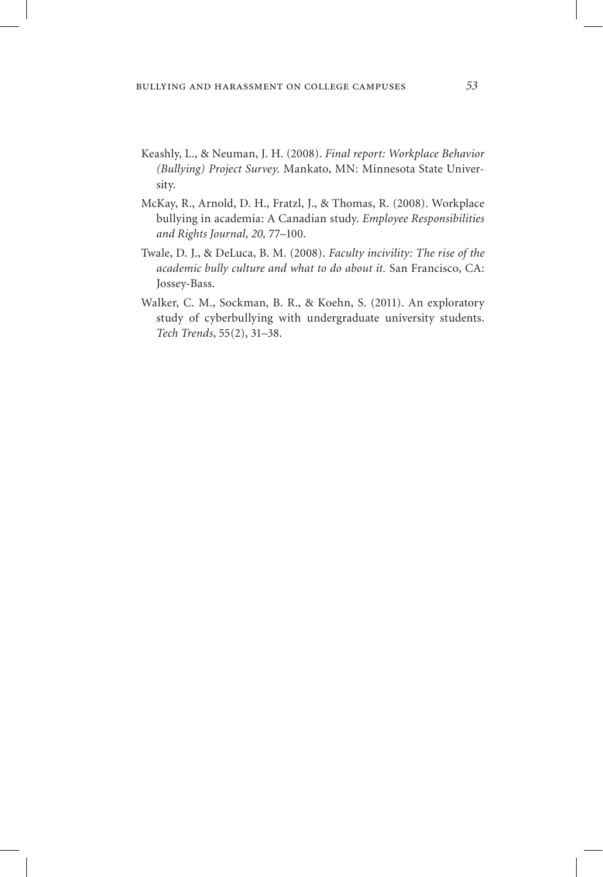- Keashly, L., & Neuman, J. H. (2008). *Final report: Workplace Behavior (Bullying) Project Survey.* Mankato, MN: Minnesota State University.
- McKay, R., Arnold, D. H., Fratzl, J., & Thomas, R. (2008). Workplace bullying in academia: A Canadian study. *Employee Responsibilities and Rights Journal, 20,* 77–100.
- Twale, D. J., & DeLuca, B. M. (2008). *Faculty incivility: The rise of the academic bully culture and what to do about it.* San Francisco, CA: Jossey-Bass.
- Walker, C. M., Sockman, B. R., & Koehn, S. (2011). An exploratory study of cyberbullying with undergraduate university students. *Tech Trends*, 55(2), 31–38.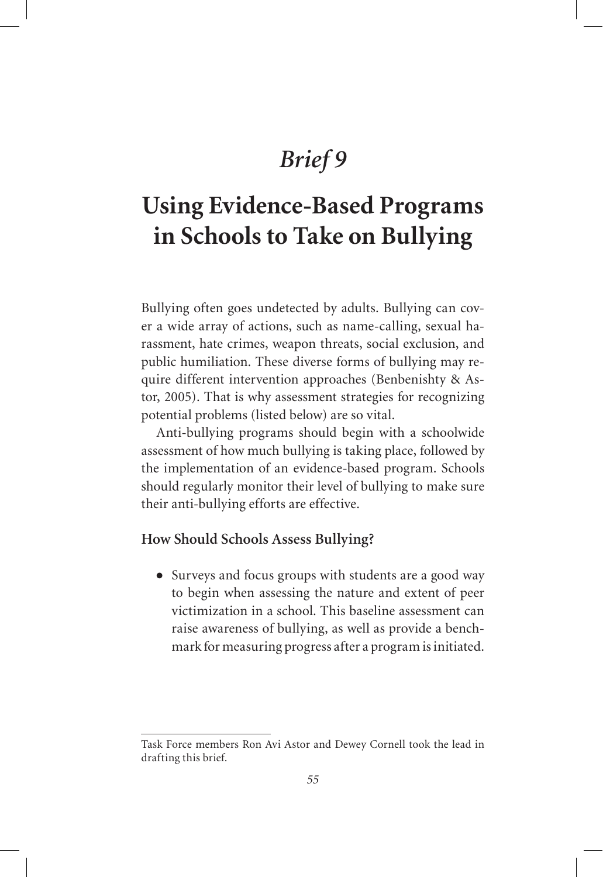# **Using Evidence-Based Programs in Schools to Take on Bullying**

Bullying often goes undetected by adults. Bullying can cover a wide array of actions, such as name-calling, sexual harassment, hate crimes, weapon threats, social exclusion, and public humiliation. These diverse forms of bullying may require different intervention approaches (Benbenishty & Astor, 2005). That is why assessment strategies for recognizing potential problems (listed below) are so vital.

Anti-bullying programs should begin with a schoolwide assessment of how much bullying is taking place, followed by the implementation of an evidence-based program. Schools should regularly monitor their level of bullying to make sure their anti-bullying efforts are effective.

## **How Should Schools Assess Bullying?**

• Surveys and focus groups with students are a good way to begin when assessing the nature and extent of peer victimization in a school. This baseline assessment can raise awareness of bullying, as well as provide a benchmark for measuring progress after a program is initiated.

Task Force members Ron Avi Astor and Dewey Cornell took the lead in drafting this brief.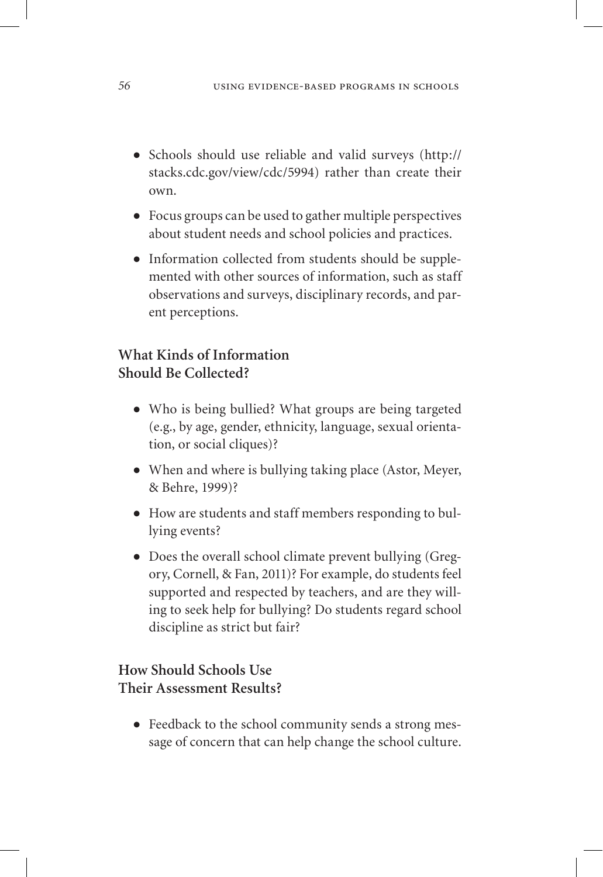- Schools should use reliable and valid surveys (http:// stacks.cdc.gov/view/cdc/5994) rather than create their own.
- Focus groups can be used to gather multiple perspectives about student needs and school policies and practices.
- Information collected from students should be supplemented with other sources of information, such as staff observations and surveys, disciplinary records, and parent perceptions.

# **What Kinds of Information Should Be Collected?**

- Who is being bullied? What groups are being targeted (e.g., by age, gender, ethnicity, language, sexual orientation, or social cliques)?
- When and where is bullying taking place (Astor, Meyer, & Behre, 1999)?
- How are students and staff members responding to bullying events?
- Does the overall school climate prevent bullying (Gregory, Cornell, & Fan, 2011)? For example, do students feel supported and respected by teachers, and are they willing to seek help for bullying? Do students regard school discipline as strict but fair?

# **How Should Schools Use Their Assessment Results?**

• Feedback to the school community sends a strong message of concern that can help change the school culture.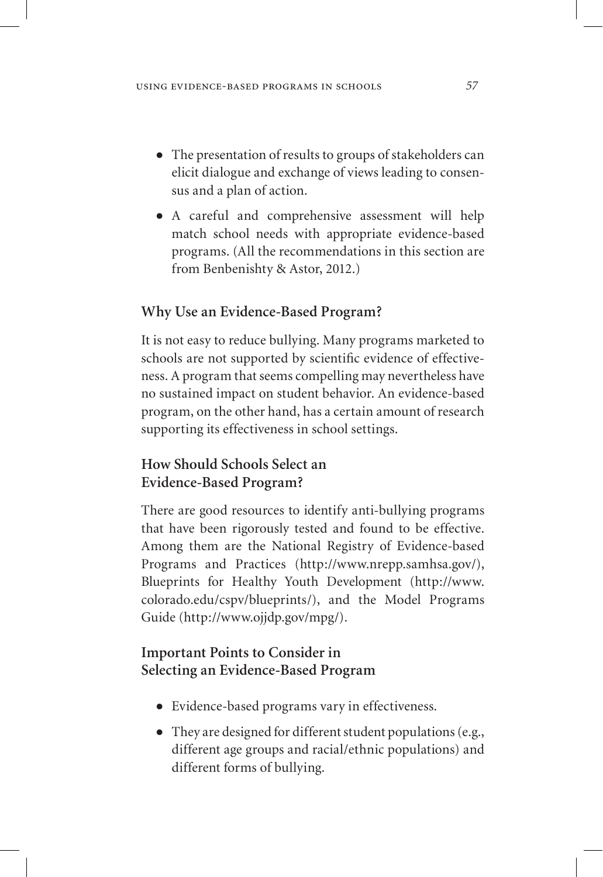- The presentation of results to groups of stakeholders can elicit dialogue and exchange of views leading to consensus and a plan of action.
- A careful and comprehensive assessment will help match school needs with appropriate evidence-based programs. (All the recommendations in this section are from Benbenishty & Astor, 2012.)

#### **Why Use an Evidence-Based Program?**

It is not easy to reduce bullying. Many programs marketed to schools are not supported by scientific evidence of effectiveness. A program that seems compelling may nevertheless have no sustained impact on student behavior. An evidence-based program, on the other hand, has a certain amount of research supporting its effectiveness in school settings.

# **How Should Schools Select an Evidence-Based Program?**

There are good resources to identify anti-bullying programs that have been rigorously tested and found to be effective. Among them are the National Registry of Evidence-based Programs and Practices (http://www.nrepp.samhsa.gov/), Blueprints for Healthy Youth Development (http://www. colorado.edu/cspv/blueprints/), and the Model Programs Guide (http://www.ojjdp.gov/mpg/).

## **Important Points to Consider in Selecting an Evidence-Based Program**

- Evidence-based programs vary in effectiveness.
- They are designed for different student populations (e.g., different age groups and racial/ethnic populations) and different forms of bullying.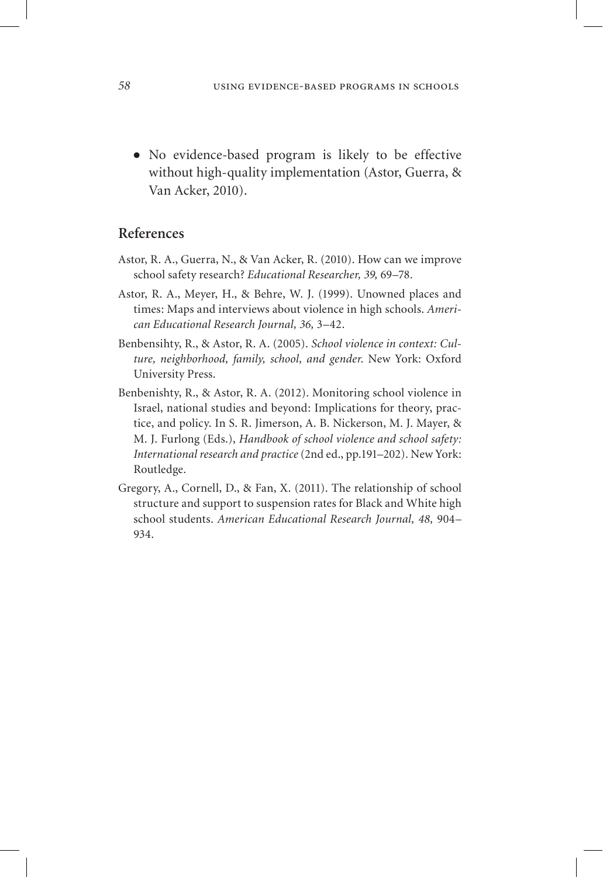• No evidence-based program is likely to be effective without high-quality implementation (Astor, Guerra, & Van Acker, 2010).

- Astor, R. A., Guerra, N., & Van Acker, R. (2010). How can we improve school safety research? *Educational Researcher, 39,* 69–78.
- Astor, R. A., Meyer, H., & Behre, W. J. (1999). Unowned places and times: Maps and interviews about violence in high schools. *American Educational Research Journal, 36,* 3–42.
- Benbensihty, R., & Astor, R. A. (2005). *School violence in context: Culture, neighborhood, family, school, and gender*. New York: Oxford University Press.
- Benbenishty, R., & Astor, R. A. (2012). Monitoring school violence in Israel, national studies and beyond: Implications for theory, practice, and policy. In S. R. Jimerson, A. B. Nickerson, M. J. Mayer, & M. J. Furlong (Eds.), *Handbook of school violence and school safety: International research and practice* (2nd ed., pp.191–202). New York: Routledge.
- Gregory, A., Cornell, D., & Fan, X. (2011). The relationship of school structure and support to suspension rates for Black and White high school students. *American Educational Research Journal, 48,* 904– 934.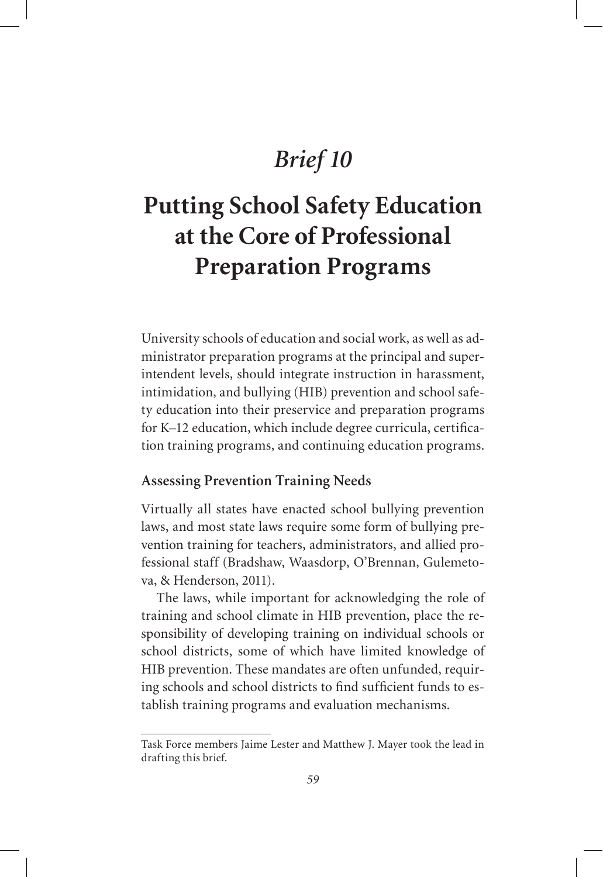# **Putting School Safety Education at the Core of Professional Preparation Programs**

University schools of education and social work, as well as administrator preparation programs at the principal and superintendent levels, should integrate instruction in harassment, intimidation, and bullying (HIB) prevention and school safety education into their preservice and preparation programs for K–12 education, which include degree curricula, certification training programs, and continuing education programs.

### **Assessing Prevention Training Needs**

Virtually all states have enacted school bullying prevention laws, and most state laws require some form of bullying prevention training for teachers, administrators, and allied professional staff (Bradshaw, Waasdorp, O'Brennan, Gulemetova, & Henderson, 2011).

The laws, while important for acknowledging the role of training and school climate in HIB prevention, place the responsibility of developing training on individual schools or school districts, some of which have limited knowledge of HIB prevention. These mandates are often unfunded, requiring schools and school districts to find sufficient funds to establish training programs and evaluation mechanisms.

Task Force members Jaime Lester and Matthew J. Mayer took the lead in drafting this brief.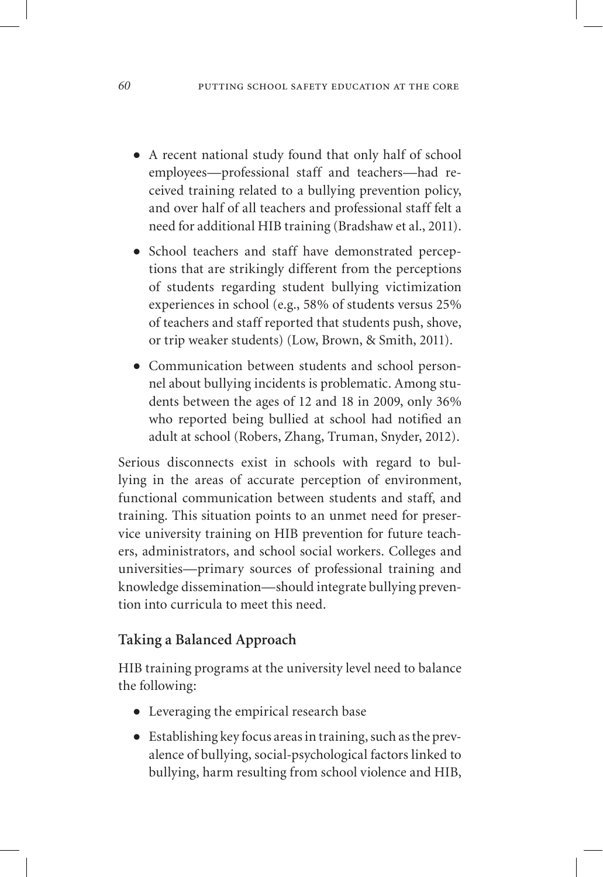- A recent national study found that only half of school employees—professional staff and teachers—had received training related to a bullying prevention policy, and over half of all teachers and professional staff felt a need for additional HIB training (Bradshaw et al., 2011).
- School teachers and staff have demonstrated perceptions that are strikingly different from the perceptions of students regarding student bullying victimization experiences in school (e.g., 58% of students versus 25% of teachers and staff reported that students push, shove, or trip weaker students) (Low, Brown, & Smith, 2011).
- Communication between students and school personnel about bullying incidents is problematic. Among students between the ages of 12 and 18 in 2009, only 36% who reported being bullied at school had notified an adult at school (Robers, Zhang, Truman, Snyder, 2012).

Serious disconnects exist in schools with regard to bullying in the areas of accurate perception of environment, functional communication between students and staff, and training. This situation points to an unmet need for preservice university training on HIB prevention for future teachers, administrators, and school social workers. Colleges and universities—primary sources of professional training and knowledge dissemination—should integrate bullying prevention into curricula to meet this need.

#### **Taking a Balanced Approach**

HIB training programs at the university level need to balance the following:

- Leveraging the empirical research base
- Establishing key focus areas in training, such as the prevalence of bullying, social-psychological factors linked to bullying, harm resulting from school violence and HIB,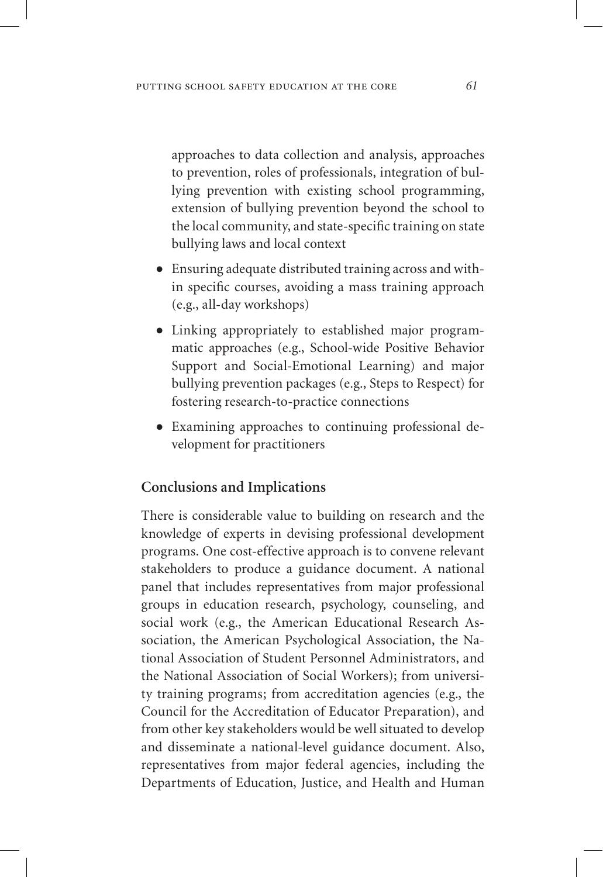approaches to data collection and analysis, approaches to prevention, roles of professionals, integration of bullying prevention with existing school programming, extension of bullying prevention beyond the school to the local community, and state-specific training on state bullying laws and local context

- Ensuring adequate distributed training across and within specific courses, avoiding a mass training approach (e.g., all-day workshops)
- Linking appropriately to established major programmatic approaches (e.g., School-wide Positive Behavior Support and Social-Emotional Learning) and major bullying prevention packages (e.g., Steps to Respect) for fostering research-to-practice connections
- Examining approaches to continuing professional development for practitioners

#### **Conclusions and Implications**

There is considerable value to building on research and the knowledge of experts in devising professional development programs. One cost-effective approach is to convene relevant stakeholders to produce a guidance document. A national panel that includes representatives from major professional groups in education research, psychology, counseling, and social work (e.g., the American Educational Research Association, the American Psychological Association, the National Association of Student Personnel Administrators, and the National Association of Social Workers); from university training programs; from accreditation agencies (e.g., the Council for the Accreditation of Educator Preparation), and from other key stakeholders would be well situated to develop and disseminate a national-level guidance document. Also, representatives from major federal agencies, including the Departments of Education, Justice, and Health and Human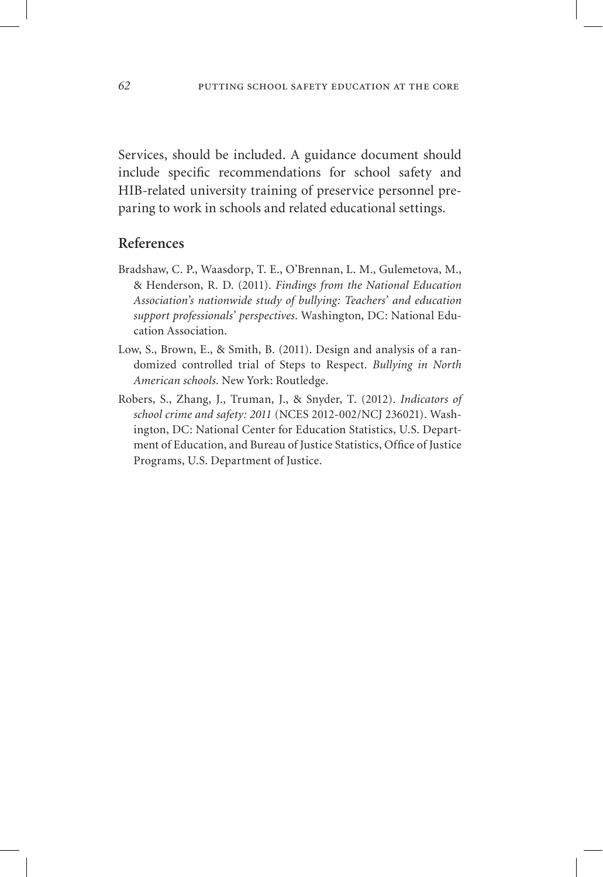Services, should be included. A guidance document should include specific recommendations for school safety and HIB-related university training of preservice personnel preparing to work in schools and related educational settings.

- Bradshaw, C. P., Waasdorp, T. E., O'Brennan, L. M., Gulemetova, M., & Henderson, R. D. (2011). *Findings from the National Education Association's nationwide study of bullying: Teachers' and education support professionals' perspectives*. Washington, DC: National Education Association.
- Low, S., Brown, E., & Smith, B. (2011). Design and analysis of a randomized controlled trial of Steps to Respect. *Bullying in North American schools.* New York: Routledge.
- Robers, S., Zhang, J., Truman, J., & Snyder, T. (2012). *Indicators of school crime and safety: 2011* (NCES 2012-002/NCJ 236021). Washington, DC: National Center for Education Statistics, U.S. Department of Education, and Bureau of Justice Statistics, Office of Justice Programs, U.S. Department of Justice.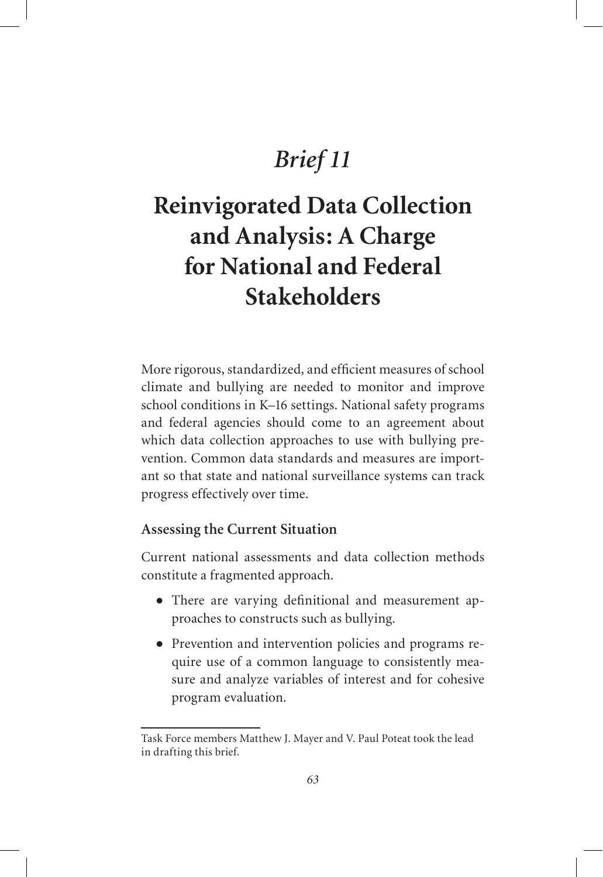# **Reinvigorated Data Collection and Analysis: A Charge for National and Federal Stakeholders**

More rigorous, standardized, and efficient measures of school climate and bullying are needed to monitor and improve school conditions in K–16 settings. National safety programs and federal agencies should come to an agreement about which data collection approaches to use with bullying prevention. Common data standards and measures are important so that state and national surveillance systems can track progress effectively over time.

### **Assessing the Current Situation**

Current national assessments and data collection methods constitute a fragmented approach.

- There are varying definitional and measurement approaches to constructs such as bullying.
- Prevention and intervention policies and programs require use of a common language to consistently measure and analyze variables of interest and for cohesive program evaluation.

Task Force members Matthew J. Mayer and V. Paul Poteat took the lead in drafting this brief.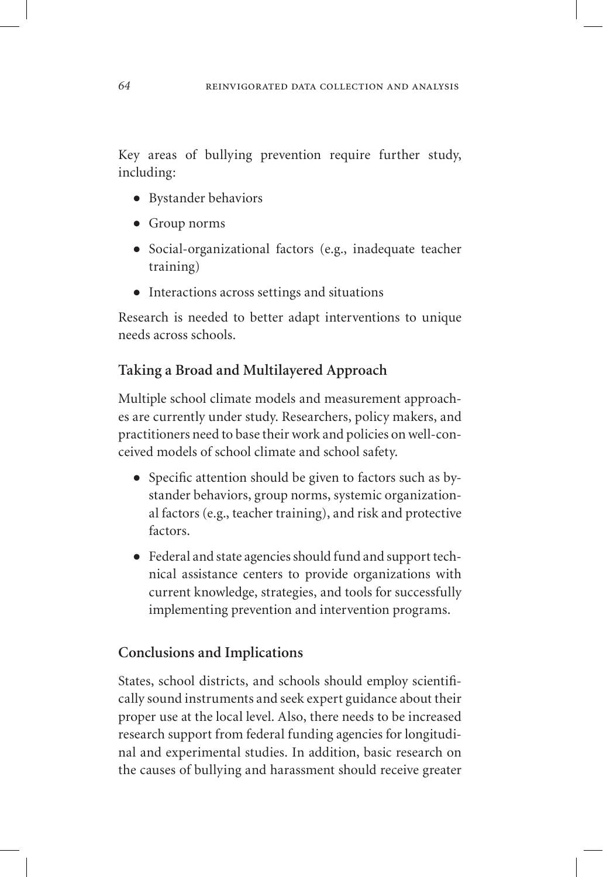Key areas of bullying prevention require further study, including:

- Bystander behaviors
- Group norms
- Social-organizational factors (e.g., inadequate teacher training)
- Interactions across settings and situations

Research is needed to better adapt interventions to unique needs across schools.

# **Taking a Broad and Multilayered Approach**

Multiple school climate models and measurement approaches are currently under study. Researchers, policy makers, and practitioners need to base their work and policies on well-conceived models of school climate and school safety.

- Specific attention should be given to factors such as bystander behaviors, group norms, systemic organizational factors (e.g., teacher training), and risk and protective factors.
- Federal and state agencies should fund and support technical assistance centers to provide organizations with current knowledge, strategies, and tools for successfully implementing prevention and intervention programs.

### **Conclusions and Implications**

States, school districts, and schools should employ scientifically sound instruments and seek expert guidance about their proper use at the local level. Also, there needs to be increased research support from federal funding agencies for longitudinal and experimental studies. In addition, basic research on the causes of bullying and harassment should receive greater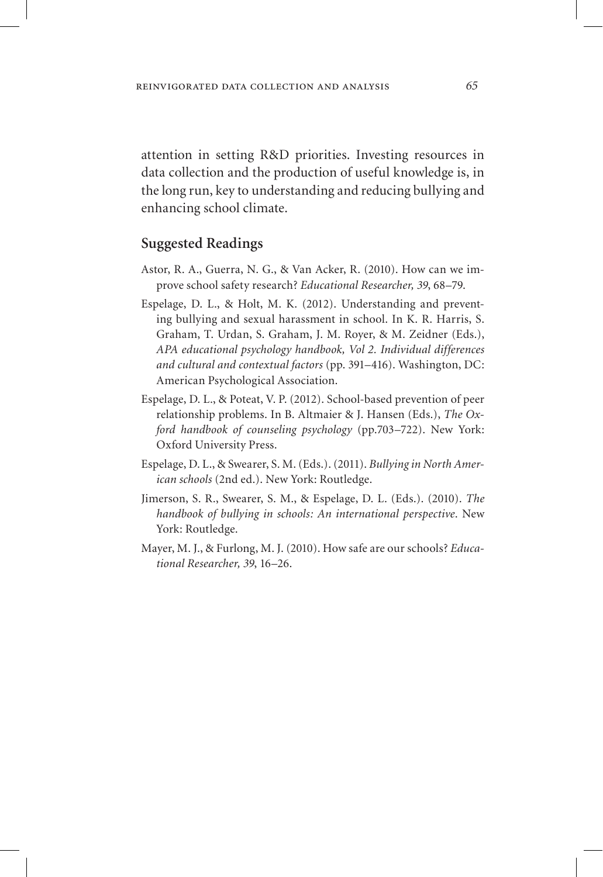attention in setting R&D priorities. Investing resources in data collection and the production of useful knowledge is, in the long run, key to understanding and reducing bullying and enhancing school climate.

## **Suggested Readings**

- Astor, R. A., Guerra, N. G., & Van Acker, R. (2010). How can we improve school safety research? *Educational Researcher, 39*, 68–79.
- Espelage, D. L., & Holt, M. K. (2012). Understanding and preventing bullying and sexual harassment in school. In K. R. Harris, S. Graham, T. Urdan, S. Graham, J. M. Royer, & M. Zeidner (Eds.), *APA educational psychology handbook, Vol 2. Individual differences and cultural and contextual factors* (pp. 391–416). Washington, DC: American Psychological Association.
- Espelage, D. L., & Poteat, V. P. (2012). School-based prevention of peer relationship problems. In B. Altmaier & J. Hansen (Eds.), *The Oxford handbook of counseling psychology* (pp.703–722). New York: Oxford University Press.
- Espelage, D. L., & Swearer, S. M. (Eds.). (2011). *Bullying in North American schools* (2nd ed.). New York: Routledge.
- Jimerson, S. R., Swearer, S. M., & Espelage, D. L. (Eds.). (2010). *The handbook of bullying in schools: An international perspective*. New York: Routledge.
- Mayer, M. J., & Furlong, M. J. (2010). How safe are our schools? *Educational Researcher, 39*, 16–26.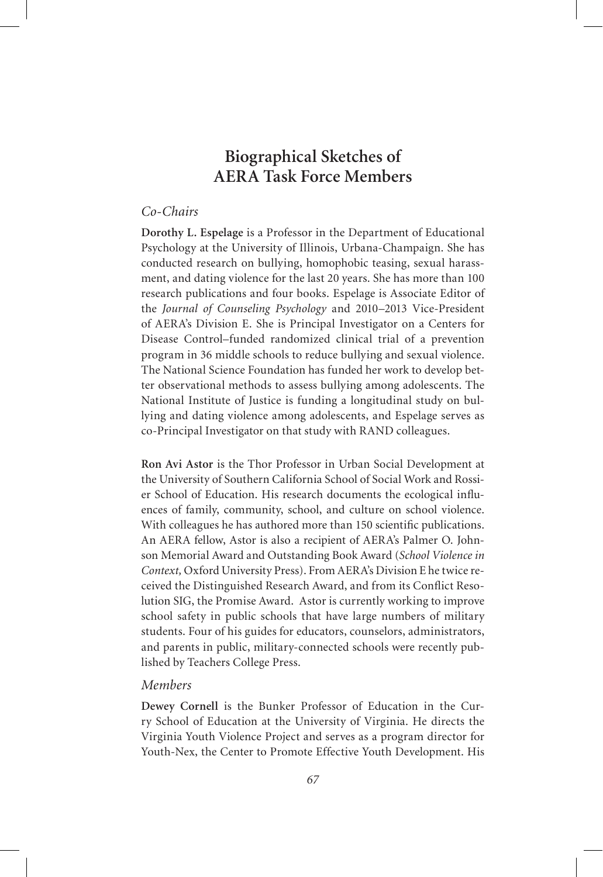# **Biographical Sketches of AERA Task Force Members**

### *Co-Chairs*

**Dorothy L. Espelage** is a Professor in the Department of Educational Psychology at the University of Illinois, Urbana-Champaign. She has conducted research on bullying, homophobic teasing, sexual harassment, and dating violence for the last 20 years. She has more than 100 research publications and four books. Espelage is Associate Editor of the *Journal of Counseling Psychology* and 2010–2013 Vice-President of AERA's Division E. She is Principal Investigator on a Centers for Disease Control–funded randomized clinical trial of a prevention program in 36 middle schools to reduce bullying and sexual violence. The National Science Foundation has funded her work to develop better observational methods to assess bullying among adolescents. The National Institute of Justice is funding a longitudinal study on bullying and dating violence among adolescents, and Espelage serves as co-Principal Investigator on that study with RAND colleagues.

**Ron Avi Astor** is the Thor Professor in Urban Social Development at the University of Southern California School of Social Work and Rossier School of Education. His research documents the ecological influences of family, community, school, and culture on school violence. With colleagues he has authored more than 150 scientific publications. An AERA fellow, Astor is also a recipient of AERA's Palmer O. Johnson Memorial Award and Outstanding Book Award (*School Violence in Context,* Oxford University Press). From AERA's Division E he twice received the Distinguished Research Award, and from its Conflict Resolution SIG, the Promise Award. Astor is currently working to improve school safety in public schools that have large numbers of military students. Four of his guides for educators, counselors, administrators, and parents in public, military-connected schools were recently published by Teachers College Press.

#### *Members*

**Dewey Cornell** is the Bunker Professor of Education in the Curry School of Education at the University of Virginia. He directs the Virginia Youth Violence Project and serves as a program director for Youth-Nex, the Center to Promote Effective Youth Development. His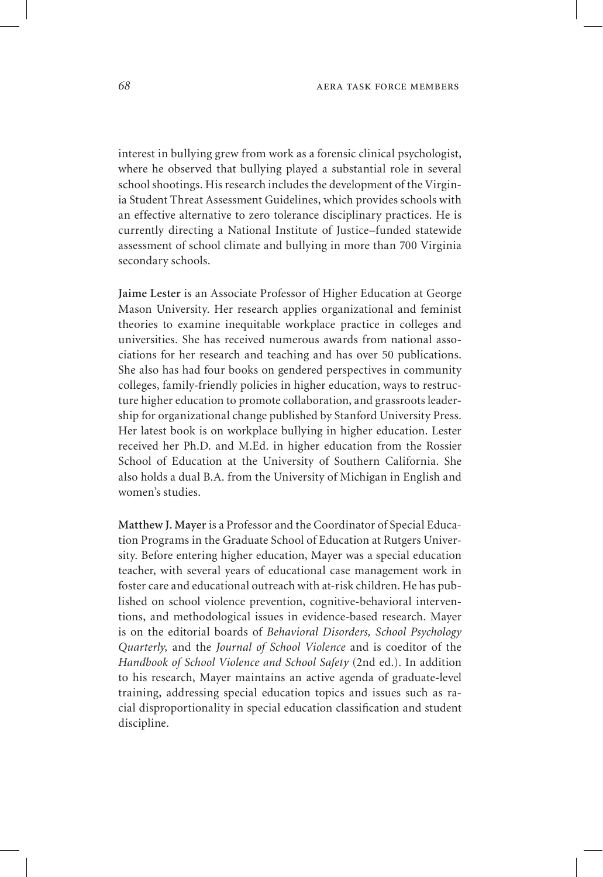interest in bullying grew from work as a forensic clinical psychologist, where he observed that bullying played a substantial role in several school shootings. His research includes the development of the Virginia Student Threat Assessment Guidelines, which provides schools with an effective alternative to zero tolerance disciplinary practices. He is currently directing a National Institute of Justice–funded statewide assessment of school climate and bullying in more than 700 Virginia secondary schools.

**Jaime Lester** is an Associate Professor of Higher Education at George Mason University. Her research applies organizational and feminist theories to examine inequitable workplace practice in colleges and universities. She has received numerous awards from national associations for her research and teaching and has over 50 publications. She also has had four books on gendered perspectives in community colleges, family-friendly policies in higher education, ways to restructure higher education to promote collaboration, and grassroots leadership for organizational change published by Stanford University Press. Her latest book is on workplace bullying in higher education. Lester received her Ph.D. and M.Ed. in higher education from the Rossier School of Education at the University of Southern California. She also holds a dual B.A. from the University of Michigan in English and women's studies.

**Matthew J. Mayer** is a Professor and the Coordinator of Special Education Programs in the Graduate School of Education at Rutgers University. Before entering higher education, Mayer was a special education teacher, with several years of educational case management work in foster care and educational outreach with at-risk children. He has published on school violence prevention, cognitive-behavioral interventions, and methodological issues in evidence-based research. Mayer is on the editorial boards of *Behavioral Disorders, School Psychology Quarterly,* and the *Journal of School Violence* and is coeditor of the *Handbook of School Violence and School Safety* (2nd ed.). In addition to his research, Mayer maintains an active agenda of graduate-level training, addressing special education topics and issues such as racial disproportionality in special education classification and student discipline.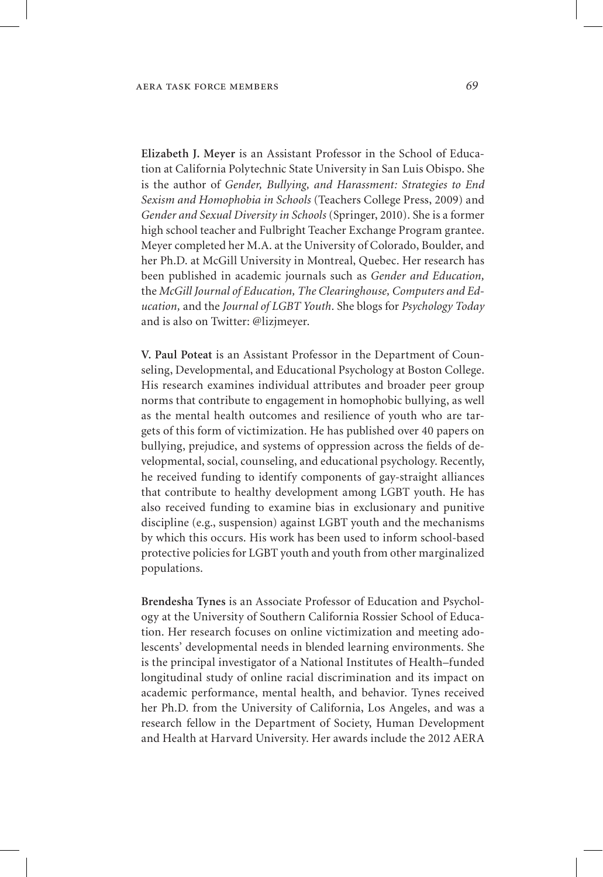**Elizabeth J. Meyer** is an Assistant Professor in the School of Education at California Polytechnic State University in San Luis Obispo. She is the author of *Gender, Bullying, and Harassment: Strategies to End Sexism and Homophobia in Schools* (Teachers College Press, 2009) and *Gender and Sexual Diversity in Schools* (Springer, 2010). She is a former high school teacher and Fulbright Teacher Exchange Program grantee. Meyer completed her M.A. at the University of Colorado, Boulder, and her Ph.D. at McGill University in Montreal, Quebec. Her research has been published in academic journals such as *Gender and Education,*  the *McGill Journal of Education, The Clearinghouse, Computers and Education,* and the *Journal of LGBT Youth*. She blogs for *Psychology Today* and is also on Twitter: @lizjmeyer.

**V. Paul Poteat** is an Assistant Professor in the Department of Counseling, Developmental, and Educational Psychology at Boston College. His research examines individual attributes and broader peer group norms that contribute to engagement in homophobic bullying, as well as the mental health outcomes and resilience of youth who are targets of this form of victimization. He has published over 40 papers on bullying, prejudice, and systems of oppression across the fields of developmental, social, counseling, and educational psychology. Recently, he received funding to identify components of gay-straight alliances that contribute to healthy development among LGBT youth. He has also received funding to examine bias in exclusionary and punitive discipline (e.g., suspension) against LGBT youth and the mechanisms by which this occurs. His work has been used to inform school-based protective policies for LGBT youth and youth from other marginalized populations.

**Brendesha Tynes** is an Associate Professor of Education and Psychology at the University of Southern California Rossier School of Education. Her research focuses on online victimization and meeting adolescents' developmental needs in blended learning environments. She is the principal investigator of a National Institutes of Health–funded longitudinal study of online racial discrimination and its impact on academic performance, mental health, and behavior. Tynes received her Ph.D. from the University of California, Los Angeles, and was a research fellow in the Department of Society, Human Development and Health at Harvard University. Her awards include the 2012 AERA